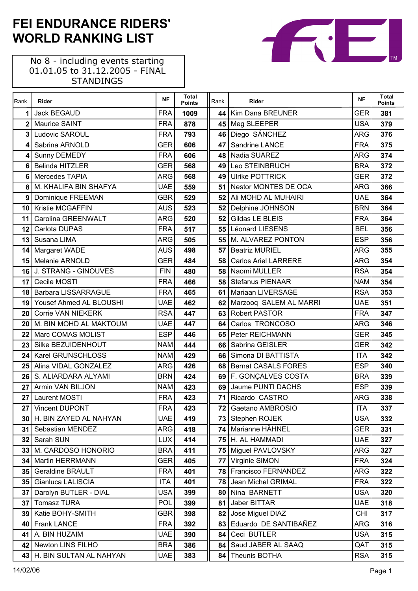No 8 - including events starting 01.01.05 to 31.12.2005 - FINAL STANDINGS

 $\Gamma$ 

| Rank            | Rider                              | <b>NF</b>  | <b>Total</b><br><b>Points</b> | Rank            | Rider                                     | <b>NF</b>                | <b>Total</b><br><b>Points</b> |
|-----------------|------------------------------------|------------|-------------------------------|-----------------|-------------------------------------------|--------------------------|-------------------------------|
| 1               | Jack BEGAUD                        | <b>FRA</b> | 1009                          | 44              | Kim Dana BREUNER                          | <b>GER</b>               | 381                           |
| $\mathbf{2}$    | <b>Maurice SAINT</b>               | <b>FRA</b> | 878                           | 45              | Meg SLEEPER                               | <b>USA</b>               | 379                           |
| 3               | Ludovic SAROUL                     | <b>FRA</b> | 793                           | 46              | Diego SÁNCHEZ                             | <b>ARG</b>               | 376                           |
| 4               | Sabrina ARNOLD                     | <b>GER</b> | 606                           | 47              | Sandrine LANCE                            | <b>FRA</b>               | 375                           |
| 4               | Sunny DEMEDY                       | <b>FRA</b> | 606                           | 48              | Nadia SUAREZ                              | <b>ARG</b>               | 374                           |
| 6               | <b>Belinda HITZLER</b>             | <b>GER</b> | 568                           | 49              | Leo STEINBRUCH                            | <b>BRA</b>               | 372                           |
| 6               | Mercedes TAPIA                     | <b>ARG</b> | 568                           | 49              | <b>Ulrike POTTRICK</b>                    | <b>GER</b>               | 372                           |
| 8               | M. KHALIFA BIN SHAFYA              | <b>UAE</b> | 559                           | 51 <sub>1</sub> | Nestor MONTES DE OCA                      | <b>ARG</b>               | 366                           |
| 9               | Dominique FREEMAN                  | <b>GBR</b> | 529                           | 52              | Ali MOHD AL MUHAIRI                       | <b>UAE</b>               | 364                           |
| 10              | Kristie MCGAFFIN                   | <b>AUS</b> | 523                           | 52              | Delphine JOHNSON                          | <b>BRN</b>               | 364                           |
| 11              | Carolina GREENWALT                 | <b>ARG</b> | 520                           | 52              | Gildas LE BLEIS                           | <b>FRA</b>               | 364                           |
| 12              | Carlota DUPAS                      | <b>FRA</b> | 517                           | 55              | Léonard LIESENS                           | <b>BEL</b>               | 356                           |
| 13              | Susana LIMA                        | <b>ARG</b> | 505                           | 55              | M. ALVAREZ PONTON                         | <b>ESP</b>               | 356                           |
| 14              | Margaret WADE                      | <b>AUS</b> | 498                           | 57              | <b>Beatriz MURIEL</b>                     | <b>ARG</b>               | 355                           |
| 15              | Melanie ARNOLD                     | <b>GER</b> | 484                           | 58              | <b>Carlos Ariel LARRERE</b>               | <b>ARG</b>               | 354                           |
| 16              | J. STRANG - GINOUVES               | <b>FIN</b> | 480                           | 58              | Naomi MULLER                              | <b>RSA</b>               | 354                           |
| 17              | Cecile MOSTI                       | <b>FRA</b> | 466                           | 58              | <b>Stefanus PIENAAR</b>                   | <b>NAM</b>               | 354                           |
| 18              | <b>Barbara LISSARRAGUE</b>         | <b>FRA</b> | 465                           | 61              | Mariaan LIVERSAGE                         | <b>RSA</b>               | 353                           |
| 19              | Yousef Ahmed AL BLOUSHI            | <b>UAE</b> | 462                           | 62              | Marzooq SALEM AL MARRI                    | <b>UAE</b>               | 351                           |
| 20              | <b>Corrie VAN NIEKERK</b>          | <b>RSA</b> | 447                           | 63              | <b>Robert PASTOR</b>                      | <b>FRA</b>               | 347                           |
| 20              | M. BIN MOHD AL MAKTOUM             | <b>UAE</b> | 447                           | 64              | Carlos TRONCOSO                           | <b>ARG</b>               | 346                           |
| 22              | Marc COMAS MOLIST                  | <b>ESP</b> | 446                           | 65              | Peter REICHMANN                           | <b>GER</b>               | 345                           |
| 23              | Silke BEZUIDENHOUT                 | <b>NAM</b> | 444                           | 66              | Sabrina GEISLER                           | <b>GER</b>               | 342                           |
| 24              | Karel GRUNSCHLOSS                  | <b>NAM</b> | 429                           | 66 l            | Simona DI BATTISTA                        | <b>ITA</b>               | 342                           |
| 25              | Alina VIDAL GONZALEZ               | <b>ARG</b> | 426                           | 68              | <b>Bernat CASALS FORES</b>                | <b>ESP</b>               | 340                           |
| 26              | S. ALIARDARA ALYAMI                | <b>BRN</b> | 424                           | 69              | F. GONÇALVES COSTA                        | <b>BRA</b>               | 339                           |
| 27              | Armin VAN BILJON                   | <b>NAM</b> | 423                           | 69              | Jaume PUNTI DACHS                         | <b>ESP</b>               | 339                           |
| 27              | <b>Laurent MOSTI</b>               | <b>FRA</b> | 423                           | 71              | Ricardo CASTRO                            | <b>ARG</b>               | 338                           |
| 27              | Vincent DUPONT                     | <b>FRA</b> | 423                           |                 | 72 Gaetano AMBROSIO                       | $\overline{IT}A$         | 337                           |
| 30              | H. BIN ZAYED AL NAHYAN             | <b>UAE</b> | 419                           |                 | 73 Stephen ROJEK                          | <b>USA</b>               | 332                           |
| 31 <sup>1</sup> | Sebastian MENDEZ                   | <b>ARG</b> | 418                           | 74 I            | Marianne HÄHNEL                           | <b>GER</b>               | 331                           |
| 32 <sub>2</sub> | Sarah SUN                          | <b>LUX</b> | 414                           | 75              | H. AL HAMMADI                             | <b>UAE</b>               | 327                           |
| 33              | M. CARDOSO HONORIO                 | <b>BRA</b> | 411                           | 75              | Miguel PAVLOVSKY                          | <b>ARG</b>               | 327                           |
| 34              | Martin HERRMANN                    | <b>GER</b> | 405                           | 77              | Virginie SIMON                            | <b>FRA</b>               | 324                           |
| 35 <sub>1</sub> | <b>Geraldine BRAULT</b>            | <b>FRA</b> | 401                           | 78              | Francisco FERNANDEZ                       | <b>ARG</b>               | 322                           |
| 35              | Gianluca LALISCIA                  | <b>ITA</b> | 401                           | 78              | Jean Michel GRIMAL                        | <b>FRA</b>               | 322                           |
| 37              | Darolyn BUTLER - DIAL              | <b>USA</b> | 399                           | 80              | Nina BARNETT                              | <b>USA</b>               | 320                           |
| 37              | <b>Tomasz TURA</b>                 | POL        | 399                           | 81              | Jaber BITTAR                              | <b>UAE</b>               | 318                           |
| 39              | Katie BOHY-SMITH                   | <b>GBR</b> | 398                           | 82              | Jose Miguel DIAZ<br>Eduardo DE SANTIBAÑEZ | <b>CHI</b><br><b>ARG</b> | 317                           |
| 40              | <b>Frank LANCE</b>                 | <b>FRA</b> | 392                           | 83              |                                           |                          | 316                           |
| 41              | A. BIN HUZAIM<br>Newton LINS FILHO | <b>UAE</b> | 390                           | 84              | Ceci BUTLER<br>Saud JABER AL SAAQ         | <b>USA</b>               | 315                           |
| 42              |                                    | <b>BRA</b> | 386                           | 84              |                                           | QAT                      | 315                           |
| 43              | H. BIN SULTAN AL NAHYAN            | <b>UAE</b> | 383                           | 84              | Theunis BOTHA                             | <b>RSA</b>               | 315                           |

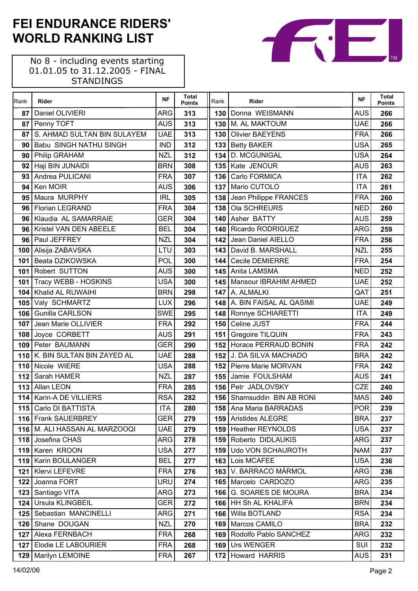| Rank | Rider                           | <b>NF</b>  | Total<br><b>Points</b> | Rank             | Rider                       | <b>NF</b>  | <b>Total</b><br><b>Points</b> |
|------|---------------------------------|------------|------------------------|------------------|-----------------------------|------------|-------------------------------|
| 87   | Daniel OLIVIERI                 | <b>ARG</b> | 313                    |                  | 130 Donna WEISMANN          | <b>AUS</b> | 266                           |
| 87   | Penny TOFT                      | <b>AUS</b> | 313                    |                  | 130 M. AL MAKTOUM           | <b>UAE</b> | 266                           |
| 87   | S. AHMAD SULTAN BIN SULAYEM     | <b>UAE</b> | 313                    |                  | 130 Olivier BAEYENS         | <b>FRA</b> | 266                           |
| 90   | <b>Babu SINGH NATHU SINGH</b>   | <b>IND</b> | 312                    |                  | 133 Betty BAKER             | <b>USA</b> | 265                           |
| 90   | Philip GRAHAM                   | <b>NZL</b> | 312                    | 134              | D. MCGUNIGAL                | <b>USA</b> | 264                           |
| 92   | Haji BIN JUNAIDI                | <b>BRN</b> | 308                    |                  | 135 Kate JENOUR             | <b>AUS</b> | 263                           |
| 93   | Andrea PULICANI                 | <b>FRA</b> | 307                    | 136              | Carlo FORMICA               | <b>ITA</b> | 262                           |
| 94   | Ken MOIR                        | <b>AUS</b> | 306                    | 137 <sup>1</sup> | Mario CUTOLO                | <b>ITA</b> | 261                           |
| 95   | Maura MURPHY                    | <b>IRL</b> | 305                    | 138              | Jean Philippe FRANCES       | <b>FRA</b> | 260                           |
| 96   | <b>Florian LEGRAND</b>          | <b>FRA</b> | 304                    | 138              | Ola SCHREURS                | <b>NED</b> | 260                           |
| 96   | Klaudia AL SAMARRAIE            | <b>GER</b> | 304                    |                  | 140 Asher BATTY             | <b>AUS</b> | 259                           |
| 96   | <b>Kristel VAN DEN ABEELE</b>   | <b>BEL</b> | 304                    | 140              | Ricardo RODRIGUEZ           | <b>ARG</b> | 259                           |
| 96   | Paul JEFFREY                    | <b>NZL</b> | 304                    | 142              | Jean Daniel AIELLO          | <b>FRA</b> | 256                           |
| 100  | Alisija ZABAVSKA                | LTU        | 303                    |                  | 143   David B. MARSHALL     | <b>NZL</b> | 255                           |
| 101  | Beata DZIKOWSKA                 | POL        | 300                    | 144              | Cecile DEMIERRE             | <b>FRA</b> | 254                           |
| 101  | Robert SUTTON                   | <b>AUS</b> | 300                    |                  | 145 Anita LAMSMA            | <b>NED</b> | 252                           |
| 101  | <b>Tracy WEBB - HOSKINS</b>     | <b>USA</b> | 300                    |                  | 145   Mansour IBRAHIM AHMED | <b>UAE</b> | 252                           |
| 104  | Khalid AL RUWAIHI               | <b>BRN</b> | 298                    |                  | 147 A. ALMALKI              | QAT        | 251                           |
|      | 105 Valy SCHMARTZ               | <b>LUX</b> | 296                    |                  | 148 A. BIN FAISAL AL QASIMI | <b>UAE</b> | 249                           |
| 106  | <b>Gunilla CARLSON</b>          | <b>SWE</b> | 295                    |                  | 148   Ronnye SCHIARETTI     | <b>ITA</b> | 249                           |
| 107  | Jean Marie OLLIVIER             | <b>FRA</b> | 292                    | 150              | Celine JUST                 | <b>FRA</b> | 244                           |
|      | 108 Joyce CORBETT               | <b>AUS</b> | 291                    |                  | 151 Gregoire TILQUIN        | <b>FRA</b> | 243                           |
|      | 109 Peter BAUMANN               | <b>GER</b> | 290                    |                  | 152 Horace PERRAUD BONIN    | <b>FRA</b> | 242                           |
| 110  | K. BIN SULTAN BIN ZAYED AL      | <b>UAE</b> | 288                    |                  | 152 J. DA SILVA MACHADO     | <b>BRA</b> | 242                           |
| 110  | Nicole WIERE                    | <b>USA</b> | 288                    |                  | 152 Pierre Marie MORVAN     | <b>FRA</b> | 242                           |
| 112  | Sarah HAMER                     | <b>NZL</b> | 287                    |                  | 155 Jamie FOULSHAM          | <b>AUS</b> | 241                           |
|      | 113 Allan LEON                  | <b>FRA</b> | 285                    |                  | 156 Petr JADLOVSKY          | CZE        | 240                           |
| 114  | Karin-A DE VILLIERS             | <b>RSA</b> | 282                    | 156              | Shamsuddin BIN AB RONI      | <b>MAS</b> | 240                           |
|      | 115 Carlo DI BATTISTA           | <b>ITA</b> | 280                    |                  | 158 Ana Maria BARRADAS      | POR        | 239                           |
|      | 116 Frank SAUERBREY             | <b>GER</b> | 279                    |                  | 159 Aristides ALEGRE        | <b>BRA</b> | 237                           |
|      | 116   M. ALI HASSAN AL MARZOOQI | <b>UAE</b> | 279                    |                  | 159 Heather REYNOLDS        | <b>USA</b> | 237                           |
|      | 118 Josefina CHAS               | <b>ARG</b> | 278                    |                  | 159 Roberto DIDLAUKIS       | <b>ARG</b> | 237                           |
|      | 119 Karen KROON                 | <b>USA</b> | 277                    | 159              | Udo VON SCHAUROTH           | <b>NAM</b> | 237                           |
| 119  | <b>Karin BOULANGER</b>          | <b>BEL</b> | 277                    |                  | 163 Lois MCAFEE             | <b>USA</b> | 236                           |
| 121  | <b>Klervi LEFEVRE</b>           | <b>FRA</b> | 276                    |                  | 163 V. BARRACO MÁRMOL       | <b>ARG</b> | 236                           |
| 122  | Joanna FORT                     | <b>URU</b> | 274                    |                  | 165 Marcelo CARDOZO         | <b>ARG</b> | 235                           |
|      | 123 Santiago VITA               | ARG        | 273                    |                  | 166 G. SOARES DE MOURA      | <b>BRA</b> | 234                           |
|      | 124 Ursula KLINGBEIL            | <b>GER</b> | 272                    |                  | 166 HH Sh AL KHALIFA        | <b>BRN</b> | 234                           |
|      | 125   Sebastian MANCINELLI      | <b>ARG</b> | 271                    | 166              | Willa BOTLAND               | <b>RSA</b> | 234                           |
|      | 126 Shane DOUGAN                | <b>NZL</b> | 270                    |                  | 169   Marcos CAMILO         | <b>BRA</b> | 232                           |
|      | 127 Alexa FERNBACH              | <b>FRA</b> | 268                    |                  | 169 Rodolfo Pablo SANCHEZ   | <b>ARG</b> | 232                           |
| 127  | <b>Elodie LE LABOURIER</b>      | <b>FRA</b> | 268                    | 169              | Urs WENGER                  | SUI        | 232                           |
| 129  | Marilyn LEMOINE                 | <b>FRA</b> | 267                    |                  | 172 Howard HARRIS           | <b>AUS</b> | 231                           |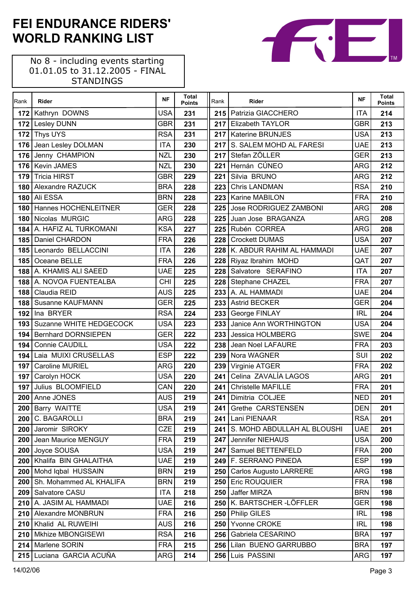No 8 - including events starting 01.01.05 to 31.12.2005 - FINAL STANDINGS

 $\mathsf{r}$ 

| Rank       | Rider                                         | <b>NF</b>                | <b>Total</b><br>Points | Rank             | Rider                                              | <b>NF</b>                | <b>Total</b><br>Points |
|------------|-----------------------------------------------|--------------------------|------------------------|------------------|----------------------------------------------------|--------------------------|------------------------|
| 172        | Kathryn DOWNS                                 | <b>USA</b>               | 231                    |                  | 215   Patrizia GIACCHERO                           | <b>ITA</b>               | 214                    |
|            | 172 Lesley DUNN                               | <b>GBR</b>               | 231                    |                  | 217 Elizabeth TAYLOR                               | <b>GBR</b>               | 213                    |
| 172        | <b>Thys UYS</b>                               | <b>RSA</b>               | 231                    |                  | 217   Katerine BRUNJES                             | <b>USA</b>               | 213                    |
| 176        | Jean Lesley DOLMAN                            | <b>ITA</b>               | 230                    | 217 <sub>1</sub> | S. SALEM MOHD AL FARESI                            | <b>UAE</b>               | 213                    |
| 176        | Jenny CHAMPION                                | <b>NZL</b>               | 230                    | 217              | Stefan ZÖLLER                                      | <b>GER</b>               | 213                    |
| 176        | <b>Kevin JAMES</b>                            | <b>NZL</b>               | 230                    | 221              | Hernán CÚNEO                                       | <b>ARG</b>               | 212                    |
| 179        | <b>Tricia HIRST</b>                           | <b>GBR</b>               | 229                    | 221              | Silvia BRUNO                                       | <b>ARG</b>               | 212                    |
| 180        | Alexandre RAZUCK                              | <b>BRA</b>               | 228                    | 223              | <b>Chris LANDMAN</b>                               | <b>RSA</b>               | 210                    |
| 180        | Ali ESSA                                      | <b>BRN</b>               | 228                    | 223              | Karine MABILON                                     | <b>FRA</b>               | 210                    |
| 180        | Hannes HOCHENLEITNER                          | <b>GER</b>               | 228                    | 225              | Jose RODRIGUEZ ZAMBONI                             | <b>ARG</b>               | 208                    |
| 180        | Nicolas MURGIC                                | <b>ARG</b>               | 228                    | 225              | Juan Jose BRAGANZA                                 | <b>ARG</b>               | 208                    |
| 184        | A. HAFIZ AL TURKOMANI                         | <b>KSA</b>               | 227                    |                  | 225 Rubén CORREA                                   | <b>ARG</b>               | 208                    |
| 185        | Daniel CHARDON                                | <b>FRA</b>               | 226                    | 228              | <b>Crockett DUMAS</b>                              | <b>USA</b>               | 207                    |
| 185        | Leonardo BELLACCINI                           | <b>ITA</b>               | 226                    |                  | 228 K. ABDUR RAHIM AL HAMMADI                      | <b>UAE</b>               | 207                    |
| 185        | Oceane BELLE                                  | <b>FRA</b>               | 226                    |                  | 228 Riyaz Ibrahim MOHD                             | QAT                      | 207                    |
| 188        | A. KHAMIS ALI SAEED                           | <b>UAE</b>               | 225                    |                  | 228 Salvatore SERAFINO                             | <b>ITA</b>               | 207                    |
| 188        | A. NOVOA FUENTEALBA                           | <b>CHI</b>               | 225                    |                  | 228 Stephane CHAZEL                                | <b>FRA</b>               | 207                    |
| 188        | Claudia REID                                  | <b>AUS</b>               | 225                    |                  | 233 A. AL HAMMADI                                  | <b>UAE</b>               | 204                    |
| 188        | <b>Susanne KAUFMANN</b>                       | <b>GER</b>               | 225                    | 233              | <b>Astrid BECKER</b>                               | <b>GER</b>               | 204                    |
| 192        | Ina BRYER                                     | <b>RSA</b>               | 224                    | 233              | George FINLAY                                      | <b>IRL</b>               | 204                    |
| 193        | Suzanne WHITE HEDGECOCK                       | <b>USA</b>               | 223                    | 233              | Janice Ann WORTHINGTON                             | <b>USA</b>               | 204                    |
| 194        | <b>Bernhard DORNSIEPEN</b>                    | <b>GER</b>               | 222                    | 233              | Jessica HOLMBERG                                   | <b>SWE</b>               | 204                    |
| 194        | Connie CAUDILL                                | <b>USA</b>               | 222                    | 238              | Jean Noel LAFAURE                                  | <b>FRA</b>               | 203                    |
| 194        | Laia MUIXI CRUSELLAS                          | <b>ESP</b>               | 222                    |                  | 239 Nora WAGNER                                    | SUI                      | 202                    |
| 197        | <b>Caroline MURIEL</b>                        | <b>ARG</b>               | 220                    | 239              | Virginie ATGER                                     | <b>FRA</b>               | 202                    |
| 197        | Carolyn HOCK                                  | <b>USA</b>               | 220                    | 241              | Celina ZAVALÍA LAGOS                               | <b>ARG</b>               | 201                    |
| 197        | Julius BLOOMFIELD                             | CAN                      | 220                    | 241              | <b>Christelle MAFILLE</b>                          | <b>FRA</b>               | 201                    |
| 200        | Anne JONES                                    | <b>AUS</b>               | 219                    | 241              | Dimitria COLJEE                                    | <b>NED</b>               | 201                    |
|            | 200 Barry WAITTE                              | <b>USA</b>               | 219                    |                  | 241 Grethe CARSTENSEN                              | <b>DEN</b>               | 201                    |
| 200        | C. BAGAROLLI                                  | <b>BRA</b>               | 219                    |                  | 241 Lani PIENAAR                                   | <b>RSA</b>               | 201                    |
| 200        | Jaromir SIROKY                                | <b>CZE</b>               | 219                    | 241 I            | S. MOHD ABDULLAH AL BLOUSHI                        | <b>UAE</b>               | 201                    |
| 200        | Jean Maurice MENGUY                           | <b>FRA</b>               | 219                    |                  | 247 Jennifer NIEHAUS                               | <b>USA</b>               | 200                    |
| 200        | Joyce SOUSA                                   | <b>USA</b>               | 219                    | 247 I            | Samuel BETTENFELD                                  | <b>FRA</b>               | 200                    |
| 200        | Khalifa BIN GHALAITHA                         | <b>UAE</b>               | 219                    |                  | 249 F. SERRANO PINEDA                              | <b>ESP</b>               | 199                    |
| 200        | Mohd Iqbal HUSSAIN<br>Sh. Mohammed AL KHALIFA | <b>BRN</b><br><b>BRN</b> | 219                    | 250              | <b>Carlos Augusto LARRERE</b><br>250 Eric ROUQUIER | <b>ARG</b><br><b>FRA</b> | 198                    |
| 200        | Salvatore CASU                                | <b>ITA</b>               | 219                    |                  | Jaffer MIRZA                                       | <b>BRN</b>               | 198                    |
| 209<br>210 | A. JASIM AL HAMMADI                           | <b>UAE</b>               | 218<br>216             | 250              | 250 K. BARTSCHER-LÖFFLER                           | <b>GER</b>               | 198<br>198             |
|            | <b>Alexandre MONBRUN</b>                      | <b>FRA</b>               |                        |                  | <b>Philip GILES</b>                                | <b>IRL</b>               |                        |
| 210<br>210 | Khalid AL RUWEIHI                             | <b>AUS</b>               | 216<br>216             | 250 <br>250      | Yvonne CROKE                                       | <b>IRL</b>               | 198<br>198             |
| 210        | Mkhize MBONGISEWI                             | <b>RSA</b>               | 216                    | 256              | Gabriela CESARINO                                  | <b>BRA</b>               | 197                    |
|            | 214 Marlene SORIN                             | <b>FRA</b>               | 215                    |                  | 256 Lilan BUENO GARRUBBO                           | <b>BRA</b>               | 197                    |
|            | 215 Luciana GARCIA ACUÑA                      | ARG                      | 214                    | 256              | Luis PASSINI                                       | <b>ARG</b>               | 197                    |
|            |                                               |                          |                        |                  |                                                    |                          |                        |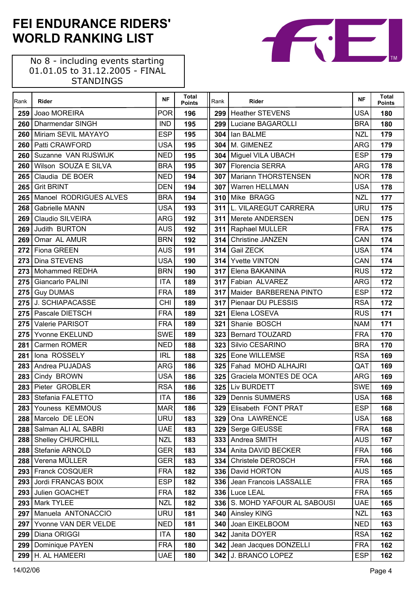| Rank | Rider                                      | <b>NF</b>         | <b>Total</b><br><b>Points</b> | Rank  | Rider                           | <b>NF</b>                | <b>Total</b><br><b>Points</b> |
|------|--------------------------------------------|-------------------|-------------------------------|-------|---------------------------------|--------------------------|-------------------------------|
| 259  | Joao MOREIRA                               | <b>POR</b>        | 196                           |       | 299 Heather STEVENS             | <b>USA</b>               | 180                           |
| 260  | <b>Dharmendar SINGH</b>                    | <b>IND</b>        | 195                           |       | 299 Luciane BAGAROLLI           | <b>BRA</b>               | 180                           |
| 260  | Miriam SEVIL MAYAYO                        | <b>ESP</b>        | 195                           | 304   | lan BALME                       | <b>NZL</b>               | 179                           |
| 260  | Patti CRAWFORD                             | <b>USA</b>        | 195                           | 304   | M. GIMENEZ                      | <b>ARG</b>               | 179                           |
| 260  | Suzanne VAN RIJSWIJK                       | <b>NED</b>        | 195                           |       | 304   Miguel VILA UBACH         | <b>ESP</b>               | 179                           |
| 260  | Wilson SOUZA E SILVA                       | <b>BRA</b>        | 195                           |       | 307 Florencia SERRA             | <b>ARG</b>               | 178                           |
| 265  | Claudia DE BOER                            | <b>NED</b>        | 194                           | 307   | Mariann THORSTENSEN             | <b>NOR</b>               | 178                           |
| 265  | <b>Grit BRINT</b>                          | <b>DEN</b>        | 194                           | 307   | Warren HELLMAN                  | <b>USA</b>               | 178                           |
| 265  | Manoel RODRIGUES ALVES                     | <b>BRA</b>        | 194                           |       | 310 Mike BRAGG                  | <b>NZL</b>               | 177                           |
| 268  | <b>Gabrielle MANN</b>                      | <b>USA</b>        | 193                           | 311   | L. VILAREGUT CARRERA            | <b>URU</b>               | 175                           |
| 269  | <b>Claudio SILVEIRA</b>                    | <b>ARG</b>        | 192                           | 311 I | Merete ANDERSEN                 | <b>DEN</b>               | 175                           |
| 269  | Judith BURTON                              | <b>AUS</b>        | 192                           |       | 311 Raphael MULLER              | <b>FRA</b>               | 175                           |
| 269  | Omar AL AMUR                               | <b>BRN</b>        | 192                           |       | 314 Christine JANZEN            | CAN                      | 174                           |
| 272  | Fiona GREEN                                | <b>AUS</b>        | 191                           | 314   | Gail ZECK                       | <b>USA</b>               | 174                           |
| 273  | Dina STEVENS                               | <b>USA</b>        | 190                           | 314   | <b>Yvette VINTON</b>            | CAN                      | 174                           |
|      | 273 Mohammed REDHA                         | <b>BRN</b>        | 190                           |       | 317 Elena BAKANINA              | <b>RUS</b>               | 172                           |
| 275  | <b>Giancarlo PALINI</b>                    | <b>ITA</b>        | 189                           |       | 317 Fabian ALVAREZ              | <b>ARG</b>               | 172                           |
|      | 275 Guy DUMAS                              | <b>FRA</b>        | 189                           | 317   | Maider BARBERENA PINTO          | <b>ESP</b>               | 172                           |
| 275  | J. SCHIAPACASSE                            | <b>CHI</b>        | 189                           | 317   | Pienaar DU PLESSIS              | <b>RSA</b>               | 172                           |
|      | 275 Pascale DIETSCH                        | <b>FRA</b>        | 189                           |       | 321 Elena LOSEVA                | <b>RUS</b>               | 171                           |
| 275  | Valerie PARISOT                            | <b>FRA</b>        | 189                           | 321   | Shanie BOSCH                    | <b>NAM</b>               | 171                           |
| 275  | Yvonne EKELUND                             | <b>SWE</b>        | 189                           | 323   | <b>Bernard TOUZARD</b>          | <b>FRA</b>               | 170                           |
| 281  | Carmen ROMER                               | <b>NED</b>        | 188                           | 323   | Silvio CESARINO                 | <b>BRA</b>               | 170                           |
| 281  | Iona ROSSELY                               | <b>IRL</b>        | 188                           |       | 325 Eone WILLEMSE               | <b>RSA</b>               | 169                           |
| 283  | Andrea PUJADAS                             | <b>ARG</b>        | 186                           |       | 325 Fahad MOHD ALHAJRI          | QAT                      | 169                           |
| 283  | Cindy BROWN                                | <b>USA</b>        | 186                           | 325   | Graciela MONTES DE OCA          | <b>ARG</b>               | 169                           |
| 283  | Pieter GROBLER                             | <b>RSA</b>        | 186                           |       | 325 Liv BURDETT                 | <b>SWE</b>               | 169                           |
|      | 283 Stefania FALETTO                       | <b>ITA</b>        | 186                           |       | 329 Dennis SUMMERS              | <b>USA</b>               | 168                           |
|      | 283 Youness KEMMOUS                        | <b>MAR</b>        | 186                           |       | 329 Elisabeth FONT PRAT         | <b>ESP</b>               | 168                           |
|      | 288 Marcelo DE LEON                        | URU               | 183                           | 329   | Ona LAWRENCE                    | <b>USA</b>               | 168                           |
|      | 288 Salman ALI AL SABRI                    | <b>UAE</b>        | 183                           | 329   | Serge GIEUSSE                   | <b>FRA</b>               | 168                           |
|      | 288   Shelley CHURCHILL                    | <b>NZL</b>        | 183                           |       | 333 Andrea SMITH                | <b>AUS</b>               | 167                           |
| 288  | Stefanie ARNOLD                            | <b>GER</b>        | 183                           | 334   | Anita DAVID BECKER              | <b>FRA</b>               | 166                           |
|      | 288 Verena MÜLLER                          | <b>GER</b>        | 183                           | 334   | Christele DEROSCH               | <b>FRA</b>               | 166                           |
|      | 293 Franck COSQUER                         | <b>FRA</b>        | 182                           | 336   | David HORTON                    | <b>AUS</b>               | 165                           |
| 293  | Jordi FRANCAS BOIX                         | <b>ESP</b>        | 182                           |       | 336 Jean Francois LASSALLE      | <b>FRA</b>               | 165                           |
| 293  | Julien GOACHET                             | <b>FRA</b>        | 182                           | 336   | Luce LEAL                       | <b>FRA</b>               | 165                           |
|      | 293 Mark TYLEE                             | <b>NZL</b>        | 182                           |       | 336   S. MOHD YAFOUR AL SABOUSI | <b>UAE</b>               | 165                           |
| 297  | Manuela ANTONACCIO<br>Yvonne VAN DER VELDE | URU<br><b>NED</b> | 181                           | 340   | <b>Ainsley KING</b>             | <b>NZL</b><br><b>NED</b> | 163                           |
| 297  | Diana ORIGGI                               |                   | 181                           | 340   | Joan EIKELBOOM<br>Janita DOYER  | <b>RSA</b>               | 163                           |
| 299  | Dominique PAYEN                            | ITA<br><b>FRA</b> | 180                           | 342   | 342 Jean Jacques DONZELLI       | <b>FRA</b>               | 162<br>162                    |
| 299  |                                            |                   | 180                           |       |                                 | <b>ESP</b>               |                               |
|      | 299 H. AL HAMEERI                          | <b>UAE</b>        | 180                           |       | 342 J. BRANCO LOPEZ             |                          | 162                           |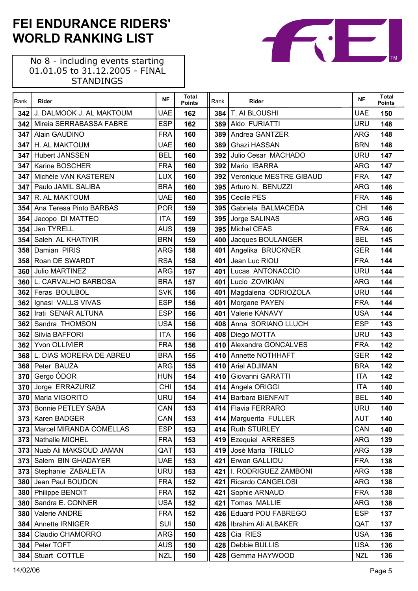| Rank | Rider                        | <b>NF</b>       | <b>Total</b><br><b>Points</b> | Rank  | Rider                     | <b>NF</b>                | <b>Total</b><br><b>Points</b> |
|------|------------------------------|-----------------|-------------------------------|-------|---------------------------|--------------------------|-------------------------------|
| 342  | J. DALMOOK J. AL MAKTOUM     | <b>UAE</b>      | 162                           | 384   | T. AI BLOUSHI             | <b>UAE</b>               | 150                           |
| 342  | Mireia SERRABASSA FABRE      | <b>ESP</b>      | 162                           | 389   | Aldo FURIATTI             | <b>URU</b>               | 148                           |
| 347  | Alain GAUDINO                | <b>FRA</b>      | 160                           | 389   | Andrea GANTZER            | <b>ARG</b>               | 148                           |
| 347  | H. AL MAKTOUM                | <b>UAE</b>      | 160                           | 389   | Ghazi HASSAN              | <b>BRN</b>               | 148                           |
| 347  | <b>Hubert JANSSEN</b>        | <b>BEL</b>      | 160                           | 392   | Julio Cesar MACHADO       | <b>URU</b>               | 147                           |
| 347  | Karine BOSCHER               | <b>FRA</b>      | 160                           | 392   | Mario IBARRA              | <b>ARG</b>               | 147                           |
| 347  | Michèle VAN KASTEREN         | LUX             | 160                           | 392   | Veronique MESTRE GIBAUD   | <b>FRA</b>               | 147                           |
| 347  | Paulo JAMIL SALIBA           | <b>BRA</b>      | 160                           | 395   | Arturo N. BENUZZI         | <b>ARG</b>               | 146                           |
| 347  | R. AL MAKTOUM                | <b>UAE</b>      | 160                           | 395   | Cecile PES                | <b>FRA</b>               | 146                           |
| 354  | Ana Teresa Pinto BARBAS      | <b>POR</b>      | 159                           | 395   | Gabriela BALMACEDA        | <b>CHI</b>               | 146                           |
| 354  | Jacopo DI MATTEO             | <b>ITA</b>      | 159                           | 395   | Jorge SALINAS             | <b>ARG</b>               | 146                           |
| 354  | Jan TYRELL                   | <b>AUS</b>      | 159                           | 395   | <b>Michel CEAS</b>        | <b>FRA</b>               | 146                           |
| 354  | Saleh AL KHATIYIR            | <b>BRN</b>      | 159                           | 400   | Jacques BOULANGER         | <b>BEL</b>               | 145                           |
| 358  | Damian PIRIS                 | ARG             | 158                           | 401   | Angelika BRUCKNER         | <b>GER</b>               | 144                           |
| 358  | Roan DE SWARDT               | <b>RSA</b>      | 158                           | 401   | Jean Luc RIOU             | <b>FRA</b>               | 144                           |
| 360  | Julio MARTINEZ               | ARG             | 157                           | 401   | Lucas ANTONACCIO          | URU                      | 144                           |
| 360  | L. CARVALHO BARBOSA          | <b>BRA</b>      | 157                           | 401   | Lucio ZOVIKIÁN            | <b>ARG</b>               | 144                           |
|      | 362 Feras BOULBOL            | <b>SVK</b>      | 156                           | 401   | Magdalena ODRIOZOLA       | <b>URU</b>               | 144                           |
| 362  | Ignasi VALLS VIVAS           | <b>ESP</b>      | 156                           | 401   | Morgane PAYEN             | <b>FRA</b>               | 144                           |
| 362  | Irati SENAR ALTUNA           | <b>ESP</b>      | 156                           | 401   | Valerie KANAVY            | <b>USA</b>               | 144                           |
| 362  | Sandra THOMSON               | <b>USA</b>      | 156                           | 408   | Anna SORIANO LLUCH        | <b>ESP</b>               | 143                           |
| 362  | Silvia BAFFORI               | <b>ITA</b>      | 156                           | 408   | Diego MOTTA               | <b>URU</b>               | 143                           |
| 362  | Yvon OLLIVIER                | <b>FRA</b>      | 156                           | 410   | Alexandre GONCALVES       | <b>FRA</b>               | 142                           |
|      | 368 L. DIAS MOREIRA DE ABREU | <b>BRA</b>      | 155                           | 410   | Annette NOTHHAFT          | <b>GER</b>               | 142                           |
| 368  | Peter BAUZA                  | ARG             | 155                           | 410   | <b>Ariel ADJIMAN</b>      | <b>BRA</b>               | 142                           |
| 370  | Gergo ÓDOR                   | <b>HUN</b>      | 154                           | 410   | Giovanni GARATTI          | <b>ITA</b>               | 142                           |
| 370  | Jorge ERRAZURIZ              | <b>CHI</b>      | 154                           | 414   | Angela ORIGGI             | <b>ITA</b>               | 140                           |
| 370  | Maria VIGORITO               | URU             | 154                           | 414   | <b>Barbara BIENFAIT</b>   | <b>BEL</b>               | 140                           |
|      | 373 Bonnie PETLEY SABA       | CAN             | 153                           |       | 414 Flavia FERRARO        | <b>URU</b>               | 140                           |
| 373  | Karen BADGER                 | CAN <sup></sup> | 153                           | 414   | Marguerita FULLER         | <b>AUT</b>               | 140                           |
| 373  | Marcel MIRANDA COMELLAS      | <b>ESP</b>      | 153                           | 414 I | <b>Ruth STURLEY</b>       | CAN                      | 140                           |
| 373  | Nathalie MICHEL              | <b>FRA</b>      | 153                           | 419   | <b>Ezequiel ARRESES</b>   | <b>ARG</b>               | 139                           |
| 373  | Nuab Ali MAKSOUD JAMAN       | QAT             | 153                           | 419   | José María TRILLO         | <b>ARG</b>               | 139                           |
| 373  | Salem BIN GHADAYER           | UAE             | 153                           | 421   | Erwan GALLIOU             | <b>FRA</b>               | 138                           |
| 373  | Stephanie ZABALETA           | URU             | 153                           | 421   | I. RODRIGUEZ ZAMBONI      | <b>ARG</b>               | 138                           |
| 380  | Jean Paul BOUDON             | <b>FRA</b>      | 152                           | 421   | Ricardo CANGELOSI         | <b>ARG</b>               | 138                           |
| 380  | Philippe BENOIT              | <b>FRA</b>      | 152                           | 421   | Sophie ARNAUD             | <b>FRA</b>               | 138                           |
| 380  | Sandra E. CONNER             | USA             | 152                           | 421   | Tomas MALLIE              | <b>ARG</b>               | 138                           |
| 380  | Valerie ANDRE                | <b>FRA</b>      | 152                           | 426   | <b>Eduard POU FABREGO</b> | <b>ESP</b>               | 137                           |
| 384  | <b>Annette IRNIGER</b>       | <b>SUI</b>      | 150                           | 426   | Ibrahim Ali ALBAKER       | QAT                      | 137                           |
| 384  | Claudio CHAMORRO             | ARG             | 150                           | 428   | Cia RIES<br>Debbie BULLIS | <b>USA</b><br><b>USA</b> | 136                           |
|      | 384   Peter TOFT             | <b>AUS</b>      | 150                           | 428   |                           |                          | 136                           |
|      | 384 Stuart COTTLE            | <b>NZL</b>      | 150                           | 428   | Gemma HAYWOOD             | <b>NZL</b>               | 136                           |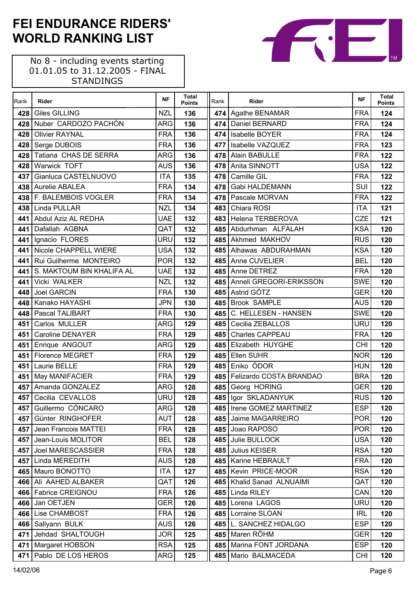| Rank | Rider                     | <b>NF</b>  | Total<br><b>Points</b> | Rank | Rider                       | <b>NF</b>  | <b>Total</b><br><b>Points</b> |
|------|---------------------------|------------|------------------------|------|-----------------------------|------------|-------------------------------|
| 428  | <b>Giles GILLING</b>      | <b>NZL</b> | 136                    |      | 474 Agathe BENAMAR          | <b>FRA</b> | 124                           |
| 428  | Nuber CARDOZO PACHÓN      | <b>ARG</b> | 136                    |      | 474   Daniel BERNARD        | <b>FRA</b> | 124                           |
| 428  | <b>Olivier RAYNAL</b>     | <b>FRA</b> | 136                    | 474  | Isabelle BOYER              | <b>FRA</b> | 124                           |
| 428  | Serge DUBOIS              | <b>FRA</b> | 136                    | 477  | Isabelle VAZQUEZ            | <b>FRA</b> | 123                           |
| 428  | Tatiana CHAS DE SERRA     | <b>ARG</b> | 136                    | 478  | Alain BABULLE               | <b>FRA</b> | 122                           |
| 428  | Warwick TOFT              | <b>AUS</b> | 136                    | 478  | Anita SINNOTT               | <b>USA</b> | 122                           |
| 437  | Gianluca CASTELNUOVO      | <b>ITA</b> | 135                    | 478  | Camille GIL                 | <b>FRA</b> | 122                           |
| 438  | <b>Aurelie ABALEA</b>     | <b>FRA</b> | 134                    | 478  | Gabi HALDEMANN              | SUI        | 122                           |
|      | 438 F. BALEMBOIS VOGLER   | <b>FRA</b> | 134                    |      | 478 Pascale MORVAN          | <b>FRA</b> | 122                           |
| 438  | Linda PULLAR              | <b>NZL</b> | 134                    | 483  | Chiara ROSI                 | <b>ITA</b> | 121                           |
| 441  | Abdul Aziz AL REDHA       | <b>UAE</b> | 132                    |      | 483 Helena TERBEROVA        | CZE        | 121                           |
| 441  | Dafallah AGBNA            | QAT        | 132                    |      | 485 Abdurhman ALFALAH       | <b>KSA</b> | 120                           |
| 441  | Ignacio FLORES            | <b>URU</b> | 132                    |      | 485 Akhmed MAKHOV           | <b>RUS</b> | 120                           |
| 441  | Nicole CHAPPELL WIERE     | <b>USA</b> | 132                    |      | 485 Alhawas ABDURAHMAN      | <b>KSA</b> | 120                           |
| 441  | Rui Guilherme MONTEIRO    | <b>POR</b> | 132                    |      | 485 Anne CUVELIER           | <b>BEL</b> | 120                           |
| 441  | S. MAKTOUM BIN KHALIFA AL | <b>UAE</b> | 132                    |      | 485 Anne DETREZ             | <b>FRA</b> | 120                           |
| 441  | Vicki WALKER              | <b>NZL</b> | 132                    | 485  | Anneli GREGORI-ERIKSSON     | <b>SWE</b> | 120                           |
| 448  | Joel GARCIN               | <b>FRA</b> | 130                    |      | 485 Astrid GÖTZ             | <b>GER</b> | 120                           |
| 448  | Kanako HAYASHI            | <b>JPN</b> | 130                    | 485  | <b>Brook SAMPLE</b>         | <b>AUS</b> | 120                           |
| 448  | <b>Pascal TALIBART</b>    | <b>FRA</b> | 130                    | 485  | C. HELLESEN - HANSEN        | <b>SWE</b> | 120                           |
| 451  | Carlos MULLER             | <b>ARG</b> | 129                    | 485  | Cecilia ZEBALLOS            | <b>URU</b> | 120                           |
| 451  | <b>Caroline DENAYER</b>   | <b>FRA</b> | 129                    | 485  | Charles CAPPEAU             | <b>FRA</b> | 120                           |
| 451  | Enrique ANGOUT            | <b>ARG</b> | 129                    |      | 485 Elizabeth HUYGHE        | <b>CHI</b> | 120                           |
| 451  | <b>Florence MEGRET</b>    | <b>FRA</b> | 129                    | 485  | Ellen SUHR                  | <b>NOR</b> | 120                           |
| 451  | Laurie BELLE              | <b>FRA</b> | 129                    |      | 485 Eniko ÓDOR              | <b>HUN</b> | 120                           |
|      | 451   May MANIFACIER      | <b>FRA</b> | 129                    |      | 485 Felizardo COSTA BRANDAO | <b>BRA</b> | 120                           |
| 457  | Amanda GONZALEZ           | <b>ARG</b> | 128                    | 485  | Georg HORING                | <b>GER</b> | 120                           |
| 457  | Cecilia CEVALLOS          | <b>URU</b> | 128                    | 485  | Igor SKLADANYUK             | <b>RUS</b> | 120                           |
|      | 457 Guillermo CÓNCARO     | ARG        | 128                    |      | 485   Irene GOMEZ MARTINEZ  | ESP        | 120                           |
| 457  | Günter RINGHOFER          | <b>AUT</b> | 128                    |      | 485 Jaime MAGARREIRO        | <b>POR</b> | 120                           |
| 457  | Jean Francois MATTEI      | <b>FRA</b> | 128                    |      | 485 Joao RAPOSO             | <b>POR</b> | 120                           |
| 457  | Jean-Louis MOLITOR        | <b>BEL</b> | 128                    |      | 485 Julie BULLOCK           | <b>USA</b> | 120                           |
| 457  | Joel MARESCASSIER         | <b>FRA</b> | 128                    |      | 485 Julius KEISER           | <b>RSA</b> | 120                           |
| 457  | Linda MEREDITH            | <b>AUS</b> | 128                    |      | 485   Karine HEBRAULT       | <b>FRA</b> | 120                           |
|      | 465 Mauro BONOTTO         | <b>ITA</b> | 127                    |      | 485 Kevin PRICE-MOOR        | <b>RSA</b> | 120                           |
|      | 466 Ali AAHED ALBAKER     | QAT        | 126                    |      | 485   Khalid Sanad ALNUAIMI | QAT        | 120                           |
|      | 466 Fabrice CREIGNOU      | <b>FRA</b> | 126                    | 485  | Linda RILEY                 | CAN        | 120                           |
| 466  | Jan OETJEN                | <b>GER</b> | 126                    | 485  | Lorena LAGOS                | <b>URU</b> | 120                           |
|      | 466 Lise CHAMBOST         | <b>FRA</b> | 126                    | 485  | Lorraine SLOAN              | <b>IRL</b> | 120                           |
|      | 466 Sallyann BULK         | <b>AUS</b> | 126                    |      | 485 L. SANCHEZ HIDALGO      | <b>ESP</b> | 120                           |
| 471  | Jehdad SHALTOUGH          | <b>JOR</b> | 125                    |      | 485 Maren RÖHM              | <b>GER</b> | 120                           |
| 471  | Margaret HOBSON           | <b>RSA</b> | 125                    |      | 485   Marina FONT JORDANA   | <b>ESP</b> | 120                           |
| 471  | Pablo DE LOS HEROS        | ARG        | 125                    |      | 485 Mario BALMACEDA         | <b>CHI</b> | 120                           |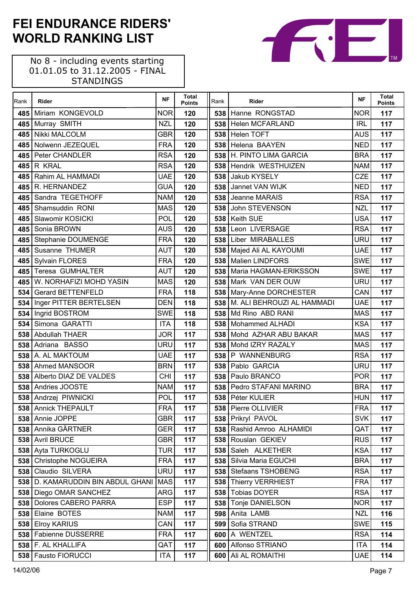No 8 - including events starting 01.01.05 to 31.12.2005 - FINAL STANDINGS

 $\mathsf{r}$ 

| Rank | <b>Rider</b>                      | <b>NF</b>  | <b>Total</b><br><b>Points</b> | Rank | Rider                       | <b>NF</b>  | <b>Total</b><br><b>Points</b> |
|------|-----------------------------------|------------|-------------------------------|------|-----------------------------|------------|-------------------------------|
| 485  | Miriam KONGEVOLD                  | <b>NOR</b> | 120                           |      | 538 Hanne RONGSTAD          | <b>NOR</b> | 117                           |
| 485  | Murray SMITH                      | <b>NZL</b> | 120                           |      | 538 Helen MCFARLAND         | <b>IRL</b> | 117                           |
| 485  | Nikki MALCOLM                     | GBR        | 120                           |      | 538 Helen TOFT              | <b>AUS</b> | 117                           |
| 485  | Nolwenn JEZEQUEL                  | <b>FRA</b> | 120                           |      | 538 Helena BAAYEN           | <b>NED</b> | 117                           |
| 485  | <b>Peter CHANDLER</b>             | <b>RSA</b> | 120                           |      | 538 H. PINTO LIMA GARCIA    | <b>BRA</b> | 117                           |
| 485  | R KRAL                            | <b>RSA</b> | 120                           |      | 538 Hendrik WESTHUIZEN      | <b>NAM</b> | 117                           |
| 485  | Rahim AL HAMMADI                  | <b>UAE</b> | 120                           | 538  | Jakub KYSELY                | <b>CZE</b> | 117                           |
| 485  | R. HERNANDEZ                      | <b>GUA</b> | 120                           |      | 538 Jannet VAN WIJK         | <b>NED</b> | 117                           |
| 485  | Sandra TEGETHOFF                  | <b>NAM</b> | 120                           |      | 538 Jeanne MARAIS           | <b>RSA</b> | 117                           |
| 485  | Shamsuddin RONI                   | <b>MAS</b> | 120                           |      | 538 John STEVENSON          | <b>NZL</b> | 117                           |
| 485  | Slawomir KOSICKI                  | <b>POL</b> | 120                           | 538  | <b>Keith SUE</b>            | <b>USA</b> | 117                           |
| 485  | Sonia BROWN                       | <b>AUS</b> | 120                           | 538  | Leon LIVERSAGE              | <b>RSA</b> | 117                           |
|      | 485 Stephanie DOUMENGE            | <b>FRA</b> | 120                           |      | 538 Liber MIRABALLES        | <b>URU</b> | 117                           |
| 485  | Susanne THUMER                    | <b>AUT</b> | 120                           |      | 538   Majed Ali AL KAYOUMI  | <b>UAE</b> | 117                           |
| 485  | <b>Sylvain FLORES</b>             | <b>FRA</b> | 120                           |      | 538 Malien LINDFORS         | <b>SWE</b> | 117                           |
| 485  | Teresa GUMHALTER                  | <b>AUT</b> | 120                           |      | 538   Maria HAGMAN-ERIKSSON | <b>SWE</b> | 117                           |
| 485  | W. NORHAFIZI MOHD YASIN           | <b>MAS</b> | 120                           |      | 538   Mark VAN DER OUW      | <b>URU</b> | 117                           |
| 534  | <b>Gerard BETTENFELD</b>          | <b>FRA</b> | 118                           |      | 538   Mary-Anne DORCHESTER  | CAN        | 117                           |
| 534  | Inger PITTER BERTELSEN            | <b>DEN</b> | 118                           | 538  | M. ALI BEHROUZI AL HAMMADI  | <b>UAE</b> | 117                           |
|      | 534 Ingrid BOSTROM                | <b>SWE</b> | 118                           |      | 538 Md Rino ABD RANI        | <b>MAS</b> | 117                           |
| 534  | Simona GARATTI                    | <b>ITA</b> | 118                           |      | 538   Mohammed ALHADI       | <b>KSA</b> | 117                           |
| 538  | Abdullah THAER                    | <b>JOR</b> | 117                           |      | 538 Mohd AZHAR ABU BAKAR    | <b>MAS</b> | 117                           |
| 538  | Adriana BASSO                     | URU        | 117                           | 538  | Mohd IZRY RAZALY            | <b>MAS</b> | 117                           |
|      | 538 A. AL MAKTOUM                 | <b>UAE</b> | 117                           |      | 538 P WANNENBURG            | <b>RSA</b> | 117                           |
| 538  | Ahmed MANSOOR                     | <b>BRN</b> | 117                           |      | 538 Pablo GARCIA            | <b>URU</b> | 117                           |
| 538  | Alberto DIAZ DE VALDES            | <b>CHI</b> | 117                           |      | 538 Paulo BRANCO            | <b>POR</b> | 117                           |
| 538  | Andries JOOSTE                    | <b>NAM</b> | 117                           | 538  | Pedro STAFANI MARINO        | <b>BRA</b> | 117                           |
|      | 538 Andrzej PIWNICKI              | POL        | 117                           |      | 538   Péter KULIER          | <b>HUN</b> | 117                           |
|      | 538 Annick THEPAULT               | <b>FRA</b> | 117                           |      | 538 Pierre OLLIVIER         | <b>FRA</b> | 117                           |
|      | 538 Annie JOPPE                   | <b>GBR</b> | 117                           |      | 538 Prikryl PAVOL           | <b>SVK</b> | 117                           |
|      | 538 Annika GÄRTNER                | <b>GER</b> | 117                           |      | 538   Rashid Amroo ALHAMIDI | QAT        | 117                           |
|      | 538 Avril BRUCE                   | <b>GBR</b> | 117                           |      | 538 Rouslan GEKIEV          | <b>RUS</b> | 117                           |
| 538  | Ayta TURKOGLU                     | <b>TUR</b> | 117                           | 538  | Saleh ALKETHER              | <b>KSA</b> | 117                           |
| 538  | Christophe NOGUEIRA               | <b>FRA</b> | 117                           | 538  | Silvia Maria EGUCHI         | <b>BRA</b> | 117                           |
| 538  | Claudio SILVERA                   | <b>URU</b> | 117                           | 538  | Stefaans TSHOBENG           | <b>RSA</b> | 117                           |
|      | 538 D. KAMARUDDIN BIN ABDUL GHANI | <b>MAS</b> | 117                           | 538  | <b>Thierry VERRHIEST</b>    | <b>FRA</b> | 117                           |
| 538  | Diego OMAR SANCHEZ                | <b>ARG</b> | 117                           | 538  | <b>Tobias DOYER</b>         | <b>RSA</b> | 117                           |
| 538  | Dolores CABERO PARRA              | <b>ESP</b> | 117                           | 538  | Tonje DANIELSON             | <b>NOR</b> | 117                           |
| 538  | Elaine BOTES                      | <b>NAM</b> | 117                           | 598  | Anita LAMB                  | <b>NZL</b> | 116                           |
| 538  | <b>Elroy KARIUS</b>               | CAN        | 117                           | 599  | Sofia STRAND                | <b>SWE</b> | 115                           |
| 538  | Fabienne DUSSERRE                 | <b>FRA</b> | 117                           | 600  | A WENTZEL                   | <b>RSA</b> | 114                           |
| 538  | F. AL KHALLIFA                    | QAT        | 117                           |      | 600 Alfonso STRIANO         | <b>ITA</b> | 114                           |
|      | 538 Fausto FIORUCCI               | ITA        | 117                           |      | 600 Ali AL ROMAITHI         | <b>UAE</b> | 114                           |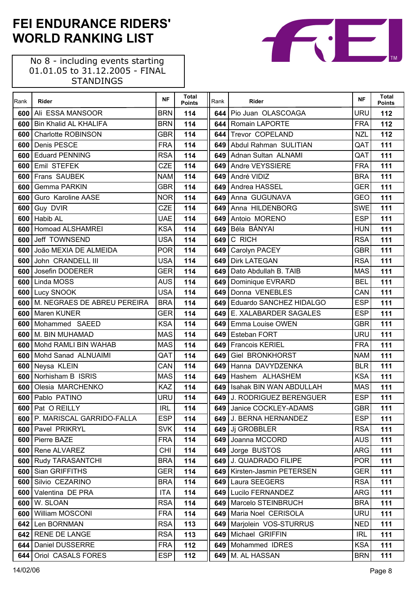No 8 - including events starting 01.01.05 to 31.12.2005 - FINAL STANDINGS

 $\mathsf{r}$ 

| Rank | Rider                        | <b>NF</b>  | <b>Total</b><br><b>Points</b> | Rank  | Rider                       | <b>NF</b>  | <b>Total</b><br><b>Points</b> |
|------|------------------------------|------------|-------------------------------|-------|-----------------------------|------------|-------------------------------|
| 600  | Ali ESSA MANSOOR             | <b>BRN</b> | 114                           | 644   | Pio Juan OLASCOAGA          | URU        | 112                           |
| 600  | <b>Bin Khalid AL KHALIFA</b> | <b>BRN</b> | 114                           | 644 l | Romain LAPORTE              | <b>FRA</b> | 112                           |
| 600  | <b>Charlotte ROBINSON</b>    | <b>GBR</b> | 114                           | 644   | Trevor COPELAND             | <b>NZL</b> | 112                           |
| 600  | Denis PESCE                  | <b>FRA</b> | 114                           |       | 649 Abdul Rahman SULITIAN   | QAT        | 111                           |
| 600  | <b>Eduard PENNING</b>        | <b>RSA</b> | 114                           |       | 649 Adnan Sultan ALNAMI     | QAT        | 111                           |
| 600  | Emil STEFEK                  | <b>CZE</b> | 114                           |       | 649 Andre VEYSSIERE         | <b>FRA</b> | 111                           |
| 600  | Frans SAUBEK                 | <b>NAM</b> | 114                           | 649   | André VIDIZ                 | <b>BRA</b> | 111                           |
| 600  | Gemma PARKIN                 | <b>GBR</b> | 114                           |       | 649 Andrea HASSEL           | <b>GER</b> | 111                           |
| 600  | Guro Karoline AASE           | <b>NOR</b> | 114                           | 649   | Anna GUGUNAVA               | <b>GEO</b> | 111                           |
| 600  | Guy DVIR                     | <b>CZE</b> | 114                           | 649   | Anna HILDENBORG             | <b>SWE</b> | 111                           |
| 600  | <b>Habib AL</b>              | <b>UAE</b> | 114                           | 649   | Antoio MORENO               | <b>ESP</b> | 111                           |
| 600  | <b>Homoad ALSHAMREI</b>      | <b>KSA</b> | 114                           | 649   | Béla BÁNYAI                 | <b>HUN</b> | 111                           |
| 600  | Jeff TOWNSEND                | <b>USA</b> | 114                           | 649   | C RICH                      | <b>RSA</b> | 111                           |
| 600  | João MEXIA DE ALMEIDA        | <b>POR</b> | 114                           | 649   | Carolyn PACEY               | <b>GBR</b> | 111                           |
| 600  | John CRANDELL III            | <b>USA</b> | 114                           | 649   | <b>Dirk LATEGAN</b>         | <b>RSA</b> | 111                           |
| 600  | Josefin DODERER              | <b>GER</b> | 114                           | 649   | Dato Abdullah B. TAIB       | <b>MAS</b> | 111                           |
| 600  | Linda MOSS                   | <b>AUS</b> | 114                           | 649   | Dominique EVRARD            | <b>BEL</b> | 111                           |
| 600  | <b>Lucy SNOOK</b>            | <b>USA</b> | 114                           | 649   | Donna VENEBLES              | CAN        | 111                           |
| 600  | M. NEGRAES DE ABREU PEREIRA  | <b>BRA</b> | 114                           | 649   | Eduardo SANCHEZ HIDALGO     | <b>ESP</b> | 111                           |
| 600  | Maren KUNER                  | <b>GER</b> | 114                           |       | 649 E. XALABARDER SAGALES   | <b>ESP</b> | 111                           |
| 600  | Mohammed SAEED               | <b>KSA</b> | 114                           |       | 649 Emma Louise OWEN        | <b>GBR</b> | 111                           |
| 600  | M. BIN MUHAMAD               | <b>MAS</b> | 114                           | 649   | <b>Esteban FORT</b>         | <b>URU</b> | 111                           |
| 600  | Mohd RAMLI BIN WAHAB         | <b>MAS</b> | 114                           | 649   | <b>Francois KERIEL</b>      | <b>FRA</b> | 111                           |
| 600  | Mohd Sanad ALNUAIMI          | QAT        | 114                           | 649   | <b>Giel BRONKHORST</b>      | <b>NAM</b> | 111                           |
| 600  | Neysa KLEIN                  | CAN        | 114                           | 649   | Hanna DAVYDZENKA            | <b>BLR</b> | 111                           |
| 600  | Norhisham B ISRIS            | <b>MAS</b> | 114                           | 649   | Hashem ALHASHEM             | <b>KSA</b> | 111                           |
| 600  | Olesia MARCHENKO             | <b>KAZ</b> | 114                           | 649   | Isahak BIN WAN ABDULLAH     | <b>MAS</b> | 111                           |
| 600  | Pablo PATINO                 | <b>URU</b> | 114                           |       | 649 J. RODRIGUEZ BERENGUER  | <b>ESP</b> | 111                           |
|      | 600 Pat O REILLY             | <b>IRL</b> | 114                           |       | 649 Janice COCKLEY-ADAMS    | <b>GBR</b> | 111                           |
| 600  | P. MARISCAL GARRIDO-FALLA    | <b>ESP</b> | 114                           |       | 649 J. BERNA HERNANDEZ      | <b>ESP</b> | 111                           |
| 600  | <b>Pavel PRIKRYL</b>         | <b>SVK</b> | 114                           |       | 649 Ji GROBBLER             | <b>RSA</b> | 111                           |
| 600  | Pierre BAZE                  | <b>FRA</b> | 114                           |       | 649 Joanna MCCORD           | <b>AUS</b> | 111                           |
| 600  | Rene ALVAREZ                 | <b>CHI</b> | 114                           | 649   | Jorge BUSTOS                | <b>ARG</b> | 111                           |
| 600  | <b>Rudy TARASANTCHI</b>      | <b>BRA</b> | 114                           |       | 649   J. QUADRADO FILIPE    | <b>POR</b> | 111                           |
| 600  | Sian GRIFFITHS               | <b>GER</b> | 114                           | 649   | Kirsten-Jasmin PETERSEN     | GER        | 111                           |
| 600  | Silvio CEZARINO              | <b>BRA</b> | 114                           | 649   | Laura SEEGERS               | <b>RSA</b> | 111                           |
| 600  | Valentina DE PRA             | <b>ITA</b> | 114                           | 649   | Lucilo FERNANDEZ            | <b>ARG</b> | 111                           |
| 600  | W. SLOAN                     | <b>RSA</b> | 114                           |       | 649   Marcelo STEINBRUCH    | <b>BRA</b> | 111                           |
| 600  | William MOSCONI              | <b>FRA</b> | 114                           | 649 I | Maria Noel CERISOLA         | URU        | 111                           |
| 642  | Len BORNMAN                  | <b>RSA</b> | 113                           |       | 649   Marjolein VOS-STURRUS | <b>NED</b> | 111                           |
| 642  | <b>RENE DE LANGE</b>         | <b>RSA</b> | 113                           | 649   | Michael GRIFFIN             | <b>IRL</b> | 111                           |
| 644  | Daniel DUSSERRE              | <b>FRA</b> | 112                           | 649   | Mohammed IDRES              | <b>KSA</b> | 111                           |
| 644  | Oriol CASALS FORES           | <b>ESP</b> | 112                           |       | 649   M. AL HASSAN          | <b>BRN</b> | 111                           |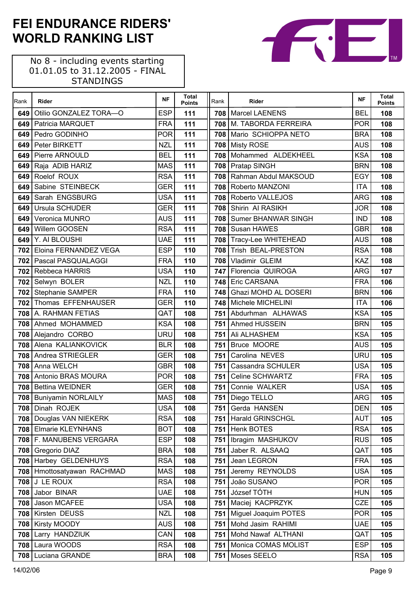| Rank | Rider                        | <b>NF</b>  | <b>Total</b><br><b>Points</b> | Rank | Rider                      | <b>NF</b>  | <b>Total</b><br><b>Points</b> |
|------|------------------------------|------------|-------------------------------|------|----------------------------|------------|-------------------------------|
| 649  | Otilio GONZALEZ TORA-O       | <b>ESP</b> | 111                           | 708  | <b>Marcel LAENENS</b>      | <b>BEL</b> | 108                           |
| 649  | Patricia MARQUET             | <b>FRA</b> | 111                           |      | 708 M. TABORDA FERREIRA    | <b>POR</b> | 108                           |
| 649  | Pedro GODINHO                | <b>POR</b> | 111                           | 708  | Mario SCHIOPPA NETO        | <b>BRA</b> | 108                           |
| 649  | Peter BIRKETT                | <b>NZL</b> | 111                           |      | 708 Misty ROSE             | <b>AUS</b> | 108                           |
| 649  | Pierre ARNOULD               | <b>BEL</b> | 111                           | 708  | Mohammed ALDEKHEEL         | <b>KSA</b> | 108                           |
| 649  | Raja ADIB HARIZ              | <b>MAS</b> | 111                           |      | 708 Pratap SINGH           | <b>BRN</b> | 108                           |
| 649  | Roelof ROUX                  | <b>RSA</b> | 111                           | 708  | Rahman Abdul MAKSOUD       | <b>EGY</b> | 108                           |
| 649  | Sabine STEINBECK             | <b>GER</b> | 111                           | 708  | Roberto MANZONI            | <b>ITA</b> | 108                           |
| 649  | Sarah ENGSBURG               | <b>USA</b> | 111                           | 708  | Roberto VALLEJOS           | <b>ARG</b> | 108                           |
| 649  | Ursula SCHUDER               | <b>GER</b> | 111                           | 708  | Shirin AI RASIKH           | <b>JOR</b> | 108                           |
| 649  | Veronica MUNRO               | <b>AUS</b> | 111                           | 708  | <b>Sumer BHANWAR SINGH</b> | <b>IND</b> | 108                           |
| 649  | Willem GOOSEN                | <b>RSA</b> | 111                           |      | 708 Susan HAWES            | <b>GBR</b> | 108                           |
| 649  | Y. AI BLOUSHI                | <b>UAE</b> | 111                           |      | 708 Tracy-Lee WHITEHEAD    | <b>AUS</b> | 108                           |
| 702  | Eloina FERNANDEZ VEGA        | <b>ESP</b> | 110                           | 708  | Trish BEAL-PRESTON         | <b>RSA</b> | 108                           |
| 702  | <b>Pascal PASQUALAGGI</b>    | <b>FRA</b> | 110                           | 708  | Vladimir GLEIM             | <b>KAZ</b> | 108                           |
|      | 702 Rebbeca HARRIS           | USA        | 110                           |      | 747 Florencia QUIROGA      | <b>ARG</b> | 107                           |
|      | 702 Selwyn BOLER             | <b>NZL</b> | 110                           | 748  | Eric CARSANA               | <b>FRA</b> | 106                           |
|      | 702 Stephanie SAMPER         | <b>FRA</b> | 110                           | 748  | Ghazi MOHD AL DOSERI       | <b>BRN</b> | 106                           |
| 702  | Thomas EFFENHAUSER           | <b>GER</b> | 110                           | 748  | Michele MICHELINI          | <b>ITA</b> | 106                           |
|      | 708 A. RAHMAN FETIAS         | QAT        | 108                           |      | 751 Abdurhman ALHAWAS      | <b>KSA</b> | 105                           |
| 708  | Ahmed MOHAMMED               | <b>KSA</b> | 108                           | 751  | Ahmed HUSSEIN              | <b>BRN</b> | 105                           |
|      | 708 Alejandro CORBO          | URU        | 108                           | 751  | Ali ALHASHEM               | <b>KSA</b> | 105                           |
| 708  | Alena KALIANKOVICK           | <b>BLR</b> | 108                           | 751  | Bruce MOORE                | <b>AUS</b> | 105                           |
| 708  | Andrea STRIEGLER             | <b>GER</b> | 108                           | 751  | Carolina NEVES             | <b>URU</b> | 105                           |
| 708  | Anna WELCH                   | <b>GBR</b> | 108                           | 751  | Cassandra SCHULER          | <b>USA</b> | 105                           |
| 708  | Antonio BRAS MOURA           | <b>POR</b> | 108                           | 751  | <b>Celine SCHWARTZ</b>     | <b>FRA</b> | 105                           |
| 708  | <b>Bettina WEIDNER</b>       | <b>GER</b> | 108                           | 751  | Connie WALKER              | <b>USA</b> | 105                           |
|      | 708   Buniyamin NORLAILY     | <b>MAS</b> | 108                           |      | 751   Diego TELLO          | <b>ARG</b> | 105                           |
|      | 708 Dinah ROJEK              | <b>USA</b> | 108                           |      | 751 Gerda HANSEN           | <b>DEN</b> | 105                           |
| 708  | Douglas VAN NIEKERK          | <b>RSA</b> | 108                           | 751  | Harald GRINSCHGL           | <b>AUT</b> | 105                           |
|      | 708 Elmarie KLEYNHANS        | <b>BOT</b> | 108                           | 751  | Henk BOTES                 | <b>RSA</b> | 105                           |
|      | 708   F. MANUBENS VERGARA    | <b>ESP</b> | 108                           | 751  | Ibragim MASHUKOV           | <b>RUS</b> | 105                           |
|      | 708 Gregorio DIAZ            | <b>BRA</b> | 108                           | 751  | Jaber R. ALSAAQ            | QAT        | 105                           |
| 708  | Harbey GELDENHUYS            | <b>RSA</b> | 108                           | 751  | Jean LEGRON                | <b>FRA</b> | 105                           |
|      | 708   Hmottosatyawan RACHMAD | <b>MAS</b> | 108                           | 751  | Jeremy REYNOLDS            | <b>USA</b> | 105                           |
|      | <b>708 J LE ROUX</b>         | <b>RSA</b> | 108                           | 751  | João SUSANO                | <b>POR</b> | 105                           |
| 708  | Jabor BINAR                  | <b>UAE</b> | 108                           | 751  | József TÓTH                | <b>HUN</b> | 105                           |
| 708  | Jason MCAFEE                 | USA        | 108                           | 751  | Maciej KACPRZYK            | <b>CZE</b> | 105                           |
|      | 708 Kirsten DEUSS            | <b>NZL</b> | 108                           | 751  | Miguel Joaquim POTES       | <b>POR</b> | 105                           |
| 708  | <b>Kirsty MOODY</b>          | <b>AUS</b> | 108                           | 751  | Mohd Jasim RAHIMI          | <b>UAE</b> | 105                           |
| 708  | Larry HANDZIUK               | CAN        | 108                           | 751  | Mohd Nawaf ALTHANI         | QAT        | 105                           |
| 708  | Laura WOODS                  | <b>RSA</b> | 108                           | 751  | Monica COMAS MOLIST        | <b>ESP</b> | 105                           |
|      | 708 Luciana GRANDE           | <b>BRA</b> | 108                           | 751  | Moses SEELO                | <b>RSA</b> | 105                           |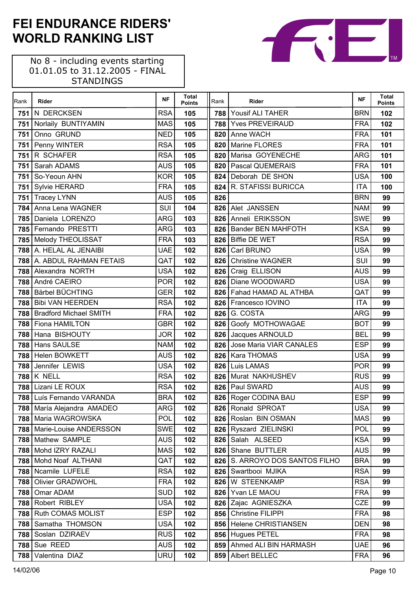No 8 - including events starting 01.01.05 to 31.12.2005 - FINAL STANDINGS

| Rank | Rider                                       | <b>NF</b>                | <b>Total</b><br><b>Points</b> | Rank  | Rider                                           | <b>NF</b>                | <b>Total</b><br><b>Points</b> |
|------|---------------------------------------------|--------------------------|-------------------------------|-------|-------------------------------------------------|--------------------------|-------------------------------|
| 751  | N DERCKSEN                                  | <b>RSA</b>               | 105                           | 788 l | Yousif ALI TAHER                                | <b>BRN</b>               | 102                           |
| 751  | Norlaily BUNTIYAMIN                         | <b>MAS</b>               | 105                           |       | 788 Yves PREVEIRAUD                             | <b>FRA</b>               | 102                           |
| 751  | Onno GRUND                                  | <b>NED</b>               | 105                           | 820   | Anne WACH                                       | <b>FRA</b>               | 101                           |
| 751  | Penny WINTER                                | <b>RSA</b>               | 105                           |       | 820 Marine FLORES                               | <b>FRA</b>               | 101                           |
| 751  | R SCHAFER                                   | <b>RSA</b>               | 105                           | 820   | Marisa GOYENECHE                                | <b>ARG</b>               | 101                           |
| 751  | Sarah ADAMS                                 | <b>AUS</b>               | 105                           |       | 820   Pascal QUEMERAIS                          | <b>FRA</b>               | 101                           |
| 751  | So-Yeoun AHN                                | <b>KOR</b>               | 105                           | 824   | Deborah DE SHON                                 | <b>USA</b>               | 100                           |
| 751  | Sylvie HERARD                               | <b>FRA</b>               | 105                           |       | 824 R. STAFISSI BURICCA                         | <b>ITA</b>               | 100                           |
| 751  | <b>Tracey LYNN</b>                          | <b>AUS</b>               | 105                           | 826   |                                                 | <b>BRN</b>               | 99                            |
| 784  | Anna Lena WAGNER                            | SUI                      | 104                           |       | 826 Alet JANSSEN                                | <b>NAM</b>               | 99                            |
| 785  | Daniela LORENZO                             | <b>ARG</b>               | 103                           | 826   | Anneli ERIKSSON                                 | <b>SWE</b>               | 99                            |
| 785  | Fernando PRESTTI                            | <b>ARG</b>               | 103                           |       | 826   Bander BEN MAHFOTH                        | <b>KSA</b>               | 99                            |
| 785  | Melody THEOLISSAT                           | <b>FRA</b>               | 103                           |       | 826 Biffie DE WET                               | <b>RSA</b>               | 99                            |
| 788  | A. HELAL AL JENAIBI                         | <b>UAE</b>               | 102                           |       | 826 Carl BRUNO                                  | <b>USA</b>               | 99                            |
| 788  | A. ABDUL RAHMAN FETAIS                      | QAT                      | 102                           | 826   | <b>Christine WAGNER</b>                         | SUI                      | 99                            |
| 788  | Alexandra NORTH                             | <b>USA</b>               | 102                           |       | 826 Craig ELLISON                               | <b>AUS</b>               | 99                            |
| 788  | André CAEIRO                                | <b>POR</b>               | 102                           |       | 826   Diane WOODWARD                            | <b>USA</b>               | 99                            |
| 788  | Bärbel BÜCHTING                             | <b>GER</b>               | 102                           |       | 826 Fahad HAMAD AL ATHBA                        | QAT                      | 99                            |
| 788  | <b>Bibi VAN HEERDEN</b>                     | <b>RSA</b>               | 102                           |       | 826   Francesco IOVINO                          | <b>ITA</b>               | 99                            |
| 788  | <b>Bradford Michael SMITH</b>               | <b>FRA</b>               | 102                           |       | 826 G. COSTA                                    | <b>ARG</b>               | 99                            |
| 788  | <b>Fiona HAMILTON</b>                       | <b>GBR</b>               | 102                           |       | 826 Goofy MOTHOWAGAE                            | <b>BOT</b>               | 99                            |
| 788  | Hana BISHOUTY                               | <b>JOR</b>               | 102                           |       | 826 Jacques ARNOULD                             | <b>BEL</b>               | 99                            |
| 788  | Hans SAULSE                                 | <b>NAM</b>               | 102                           | 826   | Jose Maria VIAR CANALES                         | <b>ESP</b>               | 99                            |
| 788  | Helen BOWKETT                               | <b>AUS</b>               | 102                           |       | 826   Kara THOMAS                               | <b>USA</b>               | 99                            |
| 788  | Jennifer LEWIS                              | <b>USA</b>               | 102                           |       | 826 Luis LAMAS                                  | <b>POR</b>               | 99                            |
| 788  | K NELL                                      | <b>RSA</b>               | 102                           |       | 826 Murat NAKHUSHEV                             | <b>RUS</b>               | 99                            |
| 788  | Lizani LE ROUX                              | <b>RSA</b>               | 102                           |       | 826   Paul SWARD                                | <b>AUS</b>               | 99                            |
| 788  | Luís Fernando VARANDA                       | <b>BRA</b>               | 102                           |       | 826 Roger CODINA BAU                            | <b>ESP</b>               | 99                            |
|      | 788 María Alejandra AMADEO                  | <b>ARG</b>               | 102                           |       | 826 Ronald SPROAT                               | USA                      | 99                            |
|      | 788 Maria WAGROWSKA                         | POL                      | 102                           |       | 826 Roslan BIN OSMAN                            | <b>MAS</b>               | 99                            |
|      | 788   Marie-Louise ANDERSSON                | <b>SWE</b>               | 102                           |       | 826 Ryszard ZIELINSKI                           | POL                      | 99                            |
|      | 788 Mathew SAMPLE                           | <b>AUS</b>               | 102                           |       | 826 Salah ALSEED                                | <b>KSA</b>               | 99                            |
| 788  | Mohd IZRY RAZALI                            | <b>MAS</b>               | 102                           | 826   | Shane BUTTLER<br>826 S. ARROYO DOS SANTOS FILHO | <b>AUS</b>               | 99                            |
|      | 788 Mohd Noaf ALTHANI<br>788 Ncamile LUFELE | QAT                      | 102                           |       |                                                 | <b>BRA</b>               | 99                            |
|      |                                             | <b>RSA</b>               | 102                           | 826   | Swartbooi MJIKA                                 | <b>RSA</b><br><b>RSA</b> | 99                            |
| 788  | Olivier GRADWOHL                            | <b>FRA</b>               | 102                           | 826   | W STEENKAMP<br>Yvan LE MAOU                     |                          | 99                            |
| 788  | Omar ADAM<br>788 Robert RIBLEY              | <b>SUD</b><br><b>USA</b> | 102                           | 826   | 826 Zajac AGNIESZKA                             | <b>FRA</b><br><b>CZE</b> | 99<br>99                      |
|      | 788 Ruth COMAS MOLIST                       | <b>ESP</b>               | 102                           | 856   | <b>Christine FILIPPI</b>                        | <b>FRA</b>               |                               |
| 788  | Samatha THOMSON                             | <b>USA</b>               | 102<br>102                    |       | 856 Helene CHRISTIANSEN                         | <b>DEN</b>               | 98<br>98                      |
| 788  | Soslan DZIRAEV                              | <b>RUS</b>               | 102                           | 856   | <b>Hugues PETEL</b>                             | <b>FRA</b>               | 98                            |
|      | 788 Sue REED                                | <b>AUS</b>               | 102                           | 859   | Ahmed ALI BIN HARMASH                           | <b>UAE</b>               | 96                            |
|      | 788 Valentina DIAZ                          | URU                      |                               |       | Albert BELLEC                                   | <b>FRA</b>               | 96                            |
|      |                                             |                          | 102                           | 859   |                                                 |                          |                               |

TМ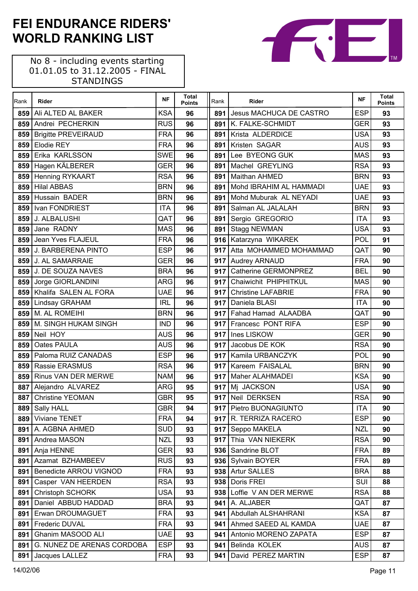No 8 - including events starting 01.01.05 to 31.12.2005 - FINAL STANDINGS

 $\Gamma$ 

| Rank | Rider                      | <b>NF</b>  | <b>Total</b><br><b>Points</b> | Rank             | Rider                          | <b>NF</b>  | <b>Total</b><br><b>Points</b> |
|------|----------------------------|------------|-------------------------------|------------------|--------------------------------|------------|-------------------------------|
| 859  | Ali ALTED AL BAKER         | <b>KSA</b> | 96                            | 891              | <b>Jesus MACHUCA DE CASTRO</b> | <b>ESP</b> | 93                            |
| 859  | Andrei PECHERKIN           | <b>RUS</b> | 96                            |                  | 891 K. FALKE-SCHMIDT           | <b>GER</b> | 93                            |
| 859  | <b>Brigitte PREVEIRAUD</b> | <b>FRA</b> | 96                            | 891              | Krista ALDERDICE               | <b>USA</b> | 93                            |
| 859  | Elodie REY                 | <b>FRA</b> | 96                            | 891              | Kristen SAGAR                  | <b>AUS</b> | 93                            |
| 859  | Erika KARLSSON             | <b>SWE</b> | 96                            | 891              | Lee BYEONG GUK                 | <b>MAS</b> | 93                            |
| 859  | Hagen KÄLBERER             | <b>GER</b> | 96                            | 891              | Machel GREYLING                | <b>RSA</b> | 93                            |
| 859  | Henning RYKAART            | <b>RSA</b> | 96                            | 891              | Maithan AHMED                  | <b>BRN</b> | 93                            |
| 859  | <b>Hilal ABBAS</b>         | <b>BRN</b> | 96                            | 891              | Mohd IBRAHIM AL HAMMADI        | <b>UAE</b> | 93                            |
| 859  | Hussain BADER              | <b>BRN</b> | 96                            | 891              | Mohd Muburak AL NEYADI         | <b>UAE</b> | 93                            |
| 859  | Ivan FONDRIEST             | <b>ITA</b> | 96                            |                  | 891 Salman AL JALALAH          | <b>BRN</b> | 93                            |
| 859  | J. ALBALUSHI               | QAT        | 96                            |                  | 891 Sergio GREGORIO            | <b>ITA</b> | 93                            |
| 859  | Jane RADNY                 | <b>MAS</b> | 96                            |                  | 891 Stagg NEWMAN               | <b>USA</b> | 93                            |
| 859  | Jean Yves FLAJEUL          | <b>FRA</b> | 96                            |                  | 916   Katarzyna WIKAREK        | POL        | 91                            |
| 859  | J. BARBERENA PINTO         | <b>ESP</b> | 96                            |                  | 917 Atta MOHAMMED MOHAMMAD     | QAT        | 90                            |
| 859  | <b>J. AL SAMARRAIE</b>     | <b>GER</b> | 96                            |                  | 917 Audrey ARNAUD              | <b>FRA</b> | 90                            |
| 859  | J. DE SOUZA NAVES          | <b>BRA</b> | 96                            |                  | 917 Catherine GERMONPREZ       | <b>BEL</b> | 90                            |
| 859  | Jorge GIORLANDINI          | <b>ARG</b> | 96                            |                  | 917 Chaiwichit PHIPHITKUL      | <b>MAS</b> | 90                            |
| 859  | Khalifa SALEN AL FORA      | <b>UAE</b> | 96                            |                  | 917 Christine LAFABRIE         | <b>FRA</b> | 90                            |
| 859  | Lindsay GRAHAM             | <b>IRL</b> | 96                            | 917 <sub>l</sub> | Daniela BLASI                  | <b>ITA</b> | 90                            |
| 859  | M. AL ROMEIHI              | <b>BRN</b> | 96                            |                  | 917 Fahad Hamad ALAADBA        | QAT        | 90                            |
| 859  | M. SINGH HUKAM SINGH       | <b>IND</b> | 96                            |                  | 917 Francesc PONT RIFA         | <b>ESP</b> | 90                            |
| 859  | Neil HOY                   | <b>AUS</b> | 96                            |                  | 917 Ines LISKOW                | <b>GER</b> | 90                            |
| 859  | Oates PAULA                | <b>AUS</b> | 96                            | 917              | Jacobus DE KOK                 | <b>RSA</b> | 90                            |
| 859  | Paloma RUIZ CANADAS        | <b>ESP</b> | 96                            |                  | 917 Kamila URBANCZYK           | POL        | 90                            |
| 859  | Rassie ERASMUS             | <b>RSA</b> | 96                            |                  | 917 Kareem FAISALAL            | <b>BRN</b> | 90                            |
| 859  | Rinus VAN DER MERWE        | <b>NAM</b> | 96                            |                  | 917 Maher ALAHMADEI            | <b>KSA</b> | 90                            |
| 887  | Alejandro ALVAREZ          | <b>ARG</b> | 95                            |                  | 917 Mj JACKSON                 | <b>USA</b> | 90                            |
| 887  | <b>Christine YEOMAN</b>    | <b>GBR</b> | 95                            | 917              | Neil DERKSEN                   | <b>RSA</b> | 90                            |
|      | 889 Sally HALL             | GBR        | 94                            |                  | 917 Pietro BUONAGIUNTO         | <b>ITA</b> | 90                            |
| 889  | Viviane TENET              | <b>FRA</b> | 94                            |                  | 917 R. TERRIZA RACERO          | <b>ESP</b> | 90                            |
| 891  | A. AGBNA AHMED             | <b>SUD</b> | 93                            |                  | 917 Seppo MAKELA               | <b>NZL</b> | 90                            |
| 891  | Andrea MASON               | <b>NZL</b> | 93                            | 917              | Thia VAN NIEKERK               | <b>RSA</b> | 90                            |
| 891  | Anja HENNE                 | GER        | 93                            | 936              | Sandrine BLOT                  | <b>FRA</b> | 89                            |
| 891  | Azamat BZHAMBEEV           | <b>RUS</b> | 93                            |                  | 936 Sylvain BOYER              | <b>FRA</b> | 89                            |
| 891  | Benedicte ARROU VIGNOD     | <b>FRA</b> | 93                            |                  | 938 Artur SALLES               | <b>BRA</b> | 88                            |
| 891  | Casper VAN HEERDEN         | <b>RSA</b> | 93                            | 938              | Doris FREI                     | SUI        | 88                            |
| 891  | <b>Christoph SCHORK</b>    | USA        | 93                            | 938              | Loffie V AN DER MERWE          | <b>RSA</b> | 88                            |
| 891  | Daniel ABBUD HADDAD        | <b>BRA</b> | 93                            | 941              | A. ALJABER                     | QAT        | 87                            |
| 891  | Erwan DROUMAGUET           | <b>FRA</b> | 93                            | 941 I            | Abdullah ALSHAHRANI            | <b>KSA</b> | 87                            |
| 891  | <b>Frederic DUVAL</b>      | <b>FRA</b> | 93                            |                  | 941 Ahmed SAEED AL KAMDA       | <b>UAE</b> | 87                            |
| 891  | Ghanim MASOOD ALI          | <b>UAE</b> | 93                            | 941              | Antonio MORENO ZAPATA          | <b>ESP</b> | 87                            |
| 891  | G. NUNEZ DE ARENAS CORDOBA | <b>ESP</b> | 93                            | 941              | Belinda KOLEK                  | <b>AUS</b> | 87                            |
| 891  | Jacques LALLEZ             | <b>FRA</b> | 93                            | 941              | David PEREZ MARTIN             | <b>ESP</b> | 87                            |

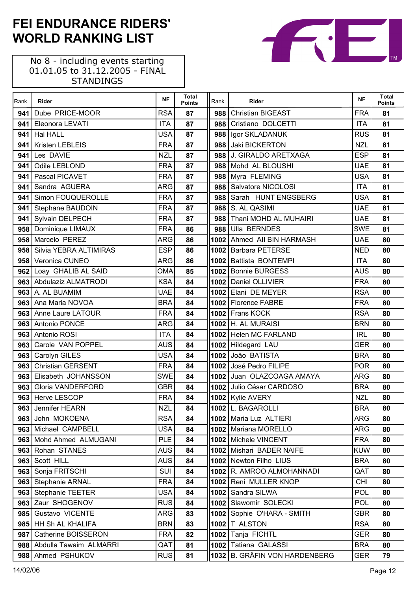No 8 - including events starting 01.01.05 to 31.12.2005 - FINAL STANDINGS

 $\Gamma$ 

| Rank | <b>Rider</b>             | <b>NF</b>  | <b>Total</b><br><b>Points</b> | Rank   | Rider                         | <b>NF</b>  | <b>Total</b><br><b>Points</b> |
|------|--------------------------|------------|-------------------------------|--------|-------------------------------|------------|-------------------------------|
| 941  | Dube PRICE-MOOR          | <b>RSA</b> | 87                            |        | 988 Christian BIGEAST         | <b>FRA</b> | 81                            |
| 941  | Eleonora LEVATI          | <b>ITA</b> | 87                            |        | 988 Cristiano DOLCETTI        | <b>ITA</b> | 81                            |
| 941  | <b>Hal HALL</b>          | <b>USA</b> | 87                            | 988    | Igor SKLADANUK                | <b>RUS</b> | 81                            |
| 941  | Kristen LEBLEIS          | <b>FRA</b> | 87                            |        | 988 Jaki BICKERTON            | <b>NZL</b> | 81                            |
| 941  | Les DAVIE                | <b>NZL</b> | 87                            |        | 988 J. GIRALDO ARETXAGA       | <b>ESP</b> | 81                            |
| 941  | Odile LEBLOND            | <b>FRA</b> | 87                            |        | 988 Mohd AL BLOUSHI           | <b>UAE</b> | 81                            |
| 941  | Pascal PICAVET           | <b>FRA</b> | 87                            |        | 988 Myra FLEMING              | <b>USA</b> | 81                            |
| 941  | Sandra AGUERA            | <b>ARG</b> | 87                            |        | 988 Salvatore NICOLOSI        | <b>ITA</b> | 81                            |
| 941  | Simon FOUQUEROLLE        | <b>FRA</b> | 87                            | 988    | Sarah HUNT ENGSBERG           | <b>USA</b> | 81                            |
| 941  | Stephane BAUDOIN         | <b>FRA</b> | 87                            | 988    | S. AL QASIMI                  | <b>UAE</b> | 81                            |
| 941  | Sylvain DELPECH          | <b>FRA</b> | 87                            | 988    | Thani MOHD AL MUHAIRI         | <b>UAE</b> | 81                            |
| 958  | Dominique LIMAUX         | <b>FRA</b> | 86                            | 988    | <b>Ulla BERNDES</b>           | <b>SWE</b> | 81                            |
| 958  | Marcelo PEREZ            | <b>ARG</b> | 86                            |        | 1002 Ahmed All BIN HARMASH    | <b>UAE</b> | 80                            |
| 958  | Silvia YEBRA ALTIMIRAS   | <b>ESP</b> | 86                            |        | 1002 Barbara PETERSE          | <b>NED</b> | 80                            |
| 958  | Veronica CUNEO           | <b>ARG</b> | 86                            |        | 1002 Battista BONTEMPI        | <b>ITA</b> | 80                            |
| 962  | Loay GHALIB AL SAID      | <b>OMA</b> | 85                            |        | 1002 Bonnie BURGESS           | <b>AUS</b> | 80                            |
|      | 963 Abdulaziz ALMATRODI  | <b>KSA</b> | 84                            |        | 1002 Daniel OLLIVIER          | <b>FRA</b> | 80                            |
|      | 963 A. AL BUAMIM         | <b>UAE</b> | 84                            |        | 1002 Elani DE MEYER           | <b>RSA</b> | 80                            |
| 963  | Ana Maria NOVOA          | <b>BRA</b> | 84                            |        | 1002 Florence FABRE           | <b>FRA</b> | 80                            |
|      | 963 Anne Laure LATOUR    | <b>FRA</b> | 84                            |        | 1002 Frans KOCK               | <b>RSA</b> | 80                            |
| 963  | Antonio PONCE            | <b>ARG</b> | 84                            |        | <b>1002 H. AL MURAISI</b>     | <b>BRN</b> | 80                            |
| 963  | Antonio ROSI             | <b>ITA</b> | 84                            |        | 1002 Helen MC FARLAND         | <b>IRL</b> | 80                            |
| 963  | Carole VAN POPPEL        | <b>AUS</b> | 84                            |        | 1002 Hildegard LAU            | <b>GER</b> | 80                            |
| 963  | Carolyn GILES            | <b>USA</b> | 84                            |        | 1002 João BATISTA             | <b>BRA</b> | 80                            |
| 963  | <b>Christian GERSENT</b> | <b>FRA</b> | 84                            |        | 1002 José Pedro FILIPE        | <b>POR</b> | 80                            |
| 963  | Elisabeth JOHANSSON      | <b>SWE</b> | 84                            |        | 1002 Juan OLAZCOAGA AMAYA     | <b>ARG</b> | 80                            |
| 963  | <b>Gloria VANDERFORD</b> | <b>GBR</b> | 84                            |        | 1002 Julio César CARDOSO      | <b>BRA</b> | 80                            |
| 963  | Herve LESCOP             | <b>FRA</b> | 84                            |        | 1002 Kylie AVERY              | <b>NZL</b> | 80                            |
|      | 963 Jennifer HEARN       | <b>NZL</b> | 84                            |        | 1002 L. BAGAROLLI             | <b>BRA</b> | 80                            |
| 963  | John MOKOENA             | <b>RSA</b> | 84                            |        | 1002   Maria Luz ALTIERI      | <b>ARG</b> | 80                            |
| 9631 | Michael CAMPBELL         | <b>USA</b> | 84                            |        | 1002   Mariana MORELLO        | ARG        | 80                            |
| 963  | Mohd Ahmed ALMUGANI      | <b>PLE</b> | 84                            |        | 1002   Michele VINCENT        | <b>FRA</b> | 80                            |
| 963  | Rohan STANES             | <b>AUS</b> | 84                            | 1002 l | Mishari BADER NAIFE           | <b>KUW</b> | 80                            |
| 963  | Scott HILL               | <b>AUS</b> | 84                            |        | 1002 Newton Filho LIUS        | <b>BRA</b> | 80                            |
| 963  | Sonja FRITSCHI           | SUI        | 84                            |        | 1002 R. AMROO ALMOHANNADI     | QAT        | 80                            |
| 963  | <b>Stephanie ARNAL</b>   | <b>FRA</b> | 84                            |        | 1002 Reni MULLER KNOP         | <b>CHI</b> | 80                            |
| 963  | <b>Stephanie TEETER</b>  | <b>USA</b> | 84                            | 1002   | Sandra SILWA                  | POL        | 80                            |
| 963  | Zaur SHOGENOV            | <b>RUS</b> | 84                            | 1002   | Slawomir SOLECKI              | POL        | 80                            |
| 985  | Gustavo VICENTE          | <b>ARG</b> | 83                            |        | 1002 Sophie O'HARA - SMITH    | <b>GBR</b> | 80                            |
| 985  | HH Sh AL KHALIFA         | <b>BRN</b> | 83                            |        | 1002   T ALSTON               | <b>RSA</b> | 80                            |
| 987  | Catherine BOISSERON      | <b>FRA</b> | 82                            | 1002   | Tanja FICHTL                  | GER        | 80                            |
| 988  | Abdulla Tawaim ALMARRI   | QAT        | 81                            | 1002   | Tatiana GALASSI               | <b>BRA</b> | 80                            |
| 988  | Ahmed PSHUKOV            | <b>RUS</b> | 81                            |        | 1032 B. GRÄFIN VON HARDENBERG | <b>GER</b> | 79                            |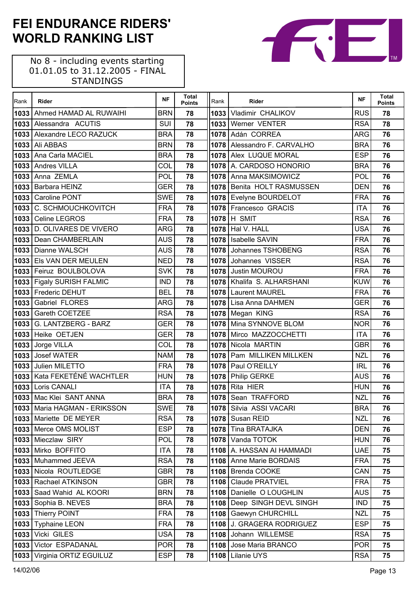No 8 - including events starting 01.01.05 to 31.12.2005 - FINAL STANDINGS

 $\mathsf{r}$ 

| Rank | Rider                        | <b>NF</b>  | <b>Total</b><br><b>Points</b> | Rank | Rider                       | <b>NF</b>  | <b>Total</b><br><b>Points</b> |
|------|------------------------------|------------|-------------------------------|------|-----------------------------|------------|-------------------------------|
| 1033 | Ahmed HAMAD AL RUWAIHI       | <b>BRN</b> | 78                            | 1033 | Vladimir CHALIKOV           | <b>RUS</b> | 78                            |
| 1033 | Alessandra ACUTIS            | SUI        | 78                            |      | 1033 Werner VENTER          | <b>RSA</b> | 78                            |
| 1033 | Alexandre LECO RAZUCK        | <b>BRA</b> | 78                            |      | 1078 Adán CORREA            | <b>ARG</b> | 76                            |
|      | <b>1033</b> Ali ABBAS        | <b>BRN</b> | 78                            |      | 1078 Alessandro F. CARVALHO | <b>BRA</b> | 76                            |
| 1033 | Ana Carla MACIEL             | <b>BRA</b> | 78                            |      | 1078 Alex LUQUE MORAL       | <b>ESP</b> | 76                            |
| 1033 | Andres VILLA                 | COL        | 78                            |      | 1078 A. CARDOSO HONORIO     | <b>BRA</b> | 76                            |
| 1033 | Anna ZEMLA                   | POL        | 78                            |      | 1078 Anna MAKSIMOWICZ       | POL        | 76                            |
| 1033 | <b>Barbara HEINZ</b>         | <b>GER</b> | 78                            |      | 1078 Benita HOLT RASMUSSEN  | <b>DEN</b> | 76                            |
| 1033 | <b>Caroline PONT</b>         | <b>SWE</b> | 78                            |      | 1078 Evelyne BOURDELOT      | <b>FRA</b> | 76                            |
|      | 1033 C. SCHMOUCHKOVITCH      | <b>FRA</b> | 78                            |      | 1078 Francesco GRACIS       | <b>ITA</b> | 76                            |
| 1033 | Celine LEGROS                | <b>FRA</b> | 78                            |      | <b>1078 H SMIT</b>          | <b>RSA</b> | 76                            |
|      | 1033 D. OLIVARES DE VIVERO   | <b>ARG</b> | 78                            |      | 1078 Hal V. HALL            | <b>USA</b> | 76                            |
| 1033 | Dean CHAMBERLAIN             | <b>AUS</b> | 78                            | 1078 | <b>Isabelle SAVIN</b>       | <b>FRA</b> | 76                            |
|      | 1033   Dianne WALSCH         | <b>AUS</b> | 78                            |      | 1078 Johannes TSHOBENG      | <b>RSA</b> | 76                            |
|      | 1033 Els VAN DER MEULEN      | <b>NED</b> | 78                            |      | 1078 Johannes VISSER        | <b>RSA</b> | 76                            |
|      | 1033 Feiruz BOULBOLOVA       | <b>SVK</b> | 78                            |      | 1078 Justin MOUROU          | <b>FRA</b> | 76                            |
|      | 1033 Figaly SURISH FALMIC    | <b>IND</b> | 78                            |      | 1078 Khalifa S. ALHARSHANI  | <b>KUW</b> | 76                            |
|      | 1033 Frederic DEHUT          | <b>BEL</b> | 78                            |      | 1078 Laurent MAUREL         | <b>FRA</b> | 76                            |
| 1033 | Gabriel FLORES               | <b>ARG</b> | 78                            |      | 1078 Lisa Anna DAHMEN       | <b>GER</b> | 76                            |
|      | 1033 Gareth COETZEE          | <b>RSA</b> | 78                            |      | 1078 Megan KING             | <b>RSA</b> | 76                            |
| 1033 | G. LANTZBERG - BARZ          | <b>GER</b> | 78                            |      | 1078 Mina SYNNOVE BLOM      | <b>NOR</b> | 76                            |
|      | 1033 Heike OETJEN            | <b>GER</b> | 78                            |      | 1078 Mirco MAZZOCCHETTI     | <b>ITA</b> | 76                            |
| 1033 | Jorge VILLA                  | COL        | 78                            | 1078 | Nicola MARTIN               | <b>GBR</b> | 76                            |
|      | 1033 Josef WATER             | <b>NAM</b> | 78                            |      | 1078 Pam MILLIKEN MILLKEN   | <b>NZL</b> | 76                            |
|      | 1033 Julien MILETTO          | <b>FRA</b> | 78                            |      | 1078 Paul O'REILLY          | <b>IRL</b> | 76                            |
|      | 1033 Kata FEKETÉNÉ WACHTLER  | <b>HUN</b> | 78                            |      | 1078 Philip GERKE           | <b>AUS</b> | 76                            |
|      | 1033 Loris CANALI            | <b>ITA</b> | 78                            | 1078 | Rita HIER                   | <b>HUN</b> | 76                            |
|      | 1033 Mac Klei SANT ANNA      | <b>BRA</b> | 78                            |      | 1078 Sean TRAFFORD          | <b>NZL</b> | 76                            |
|      | 1033 Maria HAGMAN - ERIKSSON | <b>SWE</b> | 78                            |      | 1078 Silvia ASSI VACARI     | <b>BRA</b> | 76                            |
|      | 1033 Mariette DE MEYER       | <b>RSA</b> | 78                            |      | 1078 Susan REID             | <b>NZL</b> | 76                            |
|      | 1033 Merce OMS MOLIST        | <b>ESP</b> | 78                            | 1078 | <b>Tina BRATAJKA</b>        | <b>DEN</b> | 76                            |
|      | 1033 Mieczlaw SIRY           | POL        | 78                            | 1078 | Vanda TOTOK                 | <b>HUN</b> | 76                            |
|      | 1033 Mirko BOFFITO           | ITA        | 78                            |      | 1108 A. HASSAN AI HAMMADI   | <b>UAE</b> | 75                            |
|      | 1033 Muhammed JEEVA          | <b>RSA</b> | 78                            |      | 1108 Anne Marie BORDAIS     | <b>FRA</b> | 75                            |
|      | 1033 Nicola ROUTLEDGE        | GBR        | 78                            |      | 1108   Brenda COOKE         | CAN        | 75                            |
|      | 1033 Rachael ATKINSON        | <b>GBR</b> | 78                            |      | 1108   Claude PRATVIEL      | <b>FRA</b> | 75                            |
| 1033 | Saad Wahid AL KOORI          | <b>BRN</b> | 78                            | 1108 | Danielle O LOUGHLIN         | <b>AUS</b> | 75                            |
|      | 1033 Sophia B. NEVES         | <b>BRA</b> | 78                            |      | 1108 Deep SINGH DEVL SINGH  | <b>IND</b> | 75                            |
|      | 1033   Thierry POINT         | <b>FRA</b> | 78                            | 1108 | Gaewyn CHURCHILL            | <b>NZL</b> | 75                            |
|      | 1033 Typhaine LEON           | <b>FRA</b> | 78                            |      | 1108 J. GRAGERA RODRIGUEZ   | <b>ESP</b> | 75                            |
| 1033 | Vicki GILES                  | <b>USA</b> | 78                            | 1108 | Johann WILLEMSE             | <b>RSA</b> | 75                            |
|      | 1033 Victor ESPADANAL        | <b>POR</b> | 78                            |      | 1108 Jose Maria BRANCO      | <b>POR</b> | 75                            |
|      | 1033 Virginia ORTIZ EGUILUZ  | <b>ESP</b> | 78                            | 1108 | Lilanie UYS                 | <b>RSA</b> | 75                            |

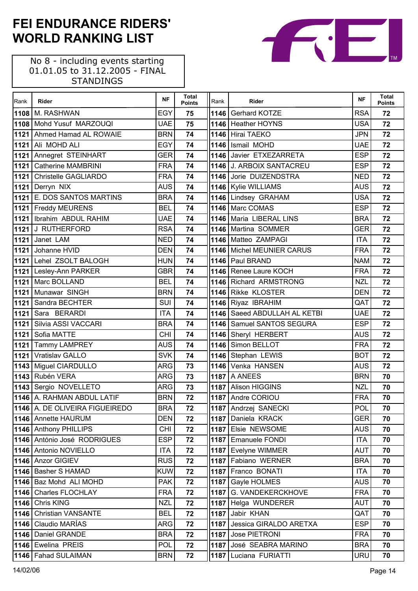| Rank | Rider                            | <b>NF</b>  | Total<br><b>Points</b> | Rank | Rider                        | <b>NF</b>  | <b>Total</b><br><b>Points</b> |
|------|----------------------------------|------------|------------------------|------|------------------------------|------------|-------------------------------|
|      | 1108 M. RASHWAN                  | <b>EGY</b> | 75                     |      | 1146 Gerhard KOTZE           | <b>RSA</b> | 72                            |
|      | 1108 Mohd Yusuf MARZOUQI         | <b>UAE</b> | 75                     |      | 1146 Heather HOYNS           | <b>USA</b> | 72                            |
|      | 1121 Ahmed Hamad AL ROWAIE       | <b>BRN</b> | 74                     |      | 1146 Hirai TAEKO             | <b>JPN</b> | 72                            |
| 1121 | Ali MOHD ALI                     | <b>EGY</b> | 74                     |      | 1146 Ismail MOHD             | <b>UAE</b> | 72                            |
| 1121 | Annegret STEINHART               | <b>GER</b> | 74                     |      | 1146 Javier ETXEZARRETA      | <b>ESP</b> | 72                            |
| 1121 | <b>Catherine MAMBRINI</b>        | <b>FRA</b> | 74                     |      | 1146 J. ARBOIX SANTACREU     | <b>ESP</b> | 72                            |
|      | 1121 Christelle GAGLIARDO        | <b>FRA</b> | 74                     |      | 1146 Jorie DUIZENDSTRA       | <b>NED</b> | 72                            |
|      | 1121 Derryn NIX                  | <b>AUS</b> | 74                     |      | 1146 Kylie WILLIAMS          | <b>AUS</b> | 72                            |
|      | 1121 E. DOS SANTOS MARTINS       | <b>BRA</b> | 74                     |      | 1146 Lindsey GRAHAM          | <b>USA</b> | 72                            |
|      | 1121 Freddy MEURENS              | <b>BEL</b> | 74                     |      | 1146 Marc COMAS              | <b>ESP</b> | 72                            |
|      | 1121   Ibrahim ABDUL RAHIM       | <b>UAE</b> | 74                     |      | 1146 Maria LIBERAL LINS      | <b>BRA</b> | 72                            |
| 1121 | J RUTHERFORD                     | <b>RSA</b> | 74                     |      | 1146 Martina SOMMER          | <b>GER</b> | 72                            |
| 1121 | Janet LAM                        | <b>NED</b> | 74                     |      | 1146 Matteo ZAMPAGI          | <b>ITA</b> | 72                            |
| 1121 | Johanne HVID                     | <b>DEN</b> | 74                     |      | 1146 Michel MEUNIER CARUS    | <b>FRA</b> | 72                            |
|      | 1121 Lehel ZSOLT BALOGH          | <b>HUN</b> | 74                     |      | 1146 Paul BRAND              | <b>NAM</b> | 72                            |
|      | 1121 Lesley-Ann PARKER           | <b>GBR</b> | 74                     |      | 1146 Renee Laure KOCH        | <b>FRA</b> | 72                            |
| 1121 | Marc BOLLAND                     | <b>BEL</b> | 74                     |      | 1146 Richard ARMSTRONG       | <b>NZL</b> | 72                            |
|      | 1121 Munawar SINGH               | <b>BRN</b> | 74                     |      | 1146 Rikke KLOSTER           | <b>DEN</b> | 72                            |
| 1121 | Sandra BECHTER                   | SUI        | 74                     |      | 1146 Riyaz IBRAHIM           | QAT        | 72                            |
| 1121 | Sara BERARDI                     | <b>ITA</b> | 74                     |      | 1146 Saeed ABDULLAH AL KETBI | <b>UAE</b> | 72                            |
| 1121 | Silvia ASSI VACCARI              | <b>BRA</b> | 74                     |      | 1146 Samuel SANTOS SEGURA    | <b>ESP</b> | 72                            |
| 1121 | Sofia MATTE                      | <b>CHI</b> | 74                     |      | 1146 Sheryl HERBERT          | <b>AUS</b> | 72                            |
|      | 1121 Tammy LAMPREY               | <b>AUS</b> | 74                     |      | 1146 Simon BELLOT            | <b>FRA</b> | 72                            |
| 1121 | Vratislav GALLO                  | <b>SVK</b> | 74                     |      | 1146 Stephan LEWIS           | <b>BOT</b> | 72                            |
|      | 1143 Miguel CIARDULLO            | <b>ARG</b> | 73                     |      | 1146 Venka HANSEN            | <b>AUS</b> | 72                            |
|      | 1143 Rubén VERA                  | <b>ARG</b> | 73                     |      | <b>1187   A ANEES</b>        | <b>BRN</b> | 70                            |
|      | 1143 Sergio NOVELLETO            | <b>ARG</b> | 73                     |      | 1187 Alison HIGGINS          | <b>NZL</b> | 70                            |
|      | 1146 A. RAHMAN ABDUL LATIF       | <b>BRN</b> | 72                     |      | 1187 Andre CORIOU            | <b>FRA</b> | 70                            |
|      | 1146   A. DE OLIVEIRA FIGUEIREDO | <b>BRA</b> | 72                     |      | 1187 Andrzej SANECKI         | <b>POL</b> | 70                            |
|      | 1146   Annette HAURUM            | <b>DEN</b> | 72                     |      | 1187 Daniela KRACK           | <b>GER</b> | 70                            |
|      | 1146 Anthony PHILLIPS            | <b>CHI</b> | 72                     |      | 1187 Elsie NEWSOME           | <b>AUS</b> | 70                            |
|      | 1146 António José RODRIGUES      | <b>ESP</b> | 72                     |      | 1187 Emanuele FONDI          | <b>ITA</b> | 70                            |
|      | 1146 Antonio NOVIELLO            | <b>ITA</b> | 72                     |      | 1187 Evelyne WIMMER          | <b>AUT</b> | 70                            |
|      | 1146 Anzor GIGIEV                | <b>RUS</b> | 72                     |      | 1187 Fabiano WERNER          | <b>BRA</b> | 70                            |
|      | 1146   Basher S HAMAD            | <b>KUW</b> | 72                     |      | 1187 Franco BONATI           | <b>ITA</b> | 70                            |
|      | 1146   Baz Mohd ALI MOHD         | <b>PAK</b> | 72                     |      | 1187 Gayle HOLMES            | <b>AUS</b> | 70                            |
|      | 1146   Charles FLOCHLAY          | <b>FRA</b> | 72                     |      | 1187 G. VANDEKERCKHOVE       | <b>FRA</b> | 70                            |
|      | 1146 Chris KING                  | <b>NZL</b> | 72                     |      | 1187 Helga WUNDERER          | <b>AUT</b> | 70                            |
|      | 1146 Christian VANSANTE          | <b>BEL</b> | 72                     |      | 1187 Jabir KHAN              | QAT        | 70                            |
|      | 1146   Claudio MARÍAS            | <b>ARG</b> | 72                     |      | 1187 Jessica GIRALDO ARETXA  | <b>ESP</b> | 70                            |
|      | 1146   Daniel GRANDE             | <b>BRA</b> | 72                     |      | 1187 Jose PIETRONI           | <b>FRA</b> | 70                            |
|      | 1146 Ewelina PREIS               | <b>POL</b> | 72                     |      | 1187 José SEABRA MARINO      | <b>BRA</b> | 70                            |
|      | 1146 Fahad SULAIMAN              | <b>BRN</b> | 72                     |      | 1187 Luciana FURIATTI        | <b>URU</b> | 70                            |

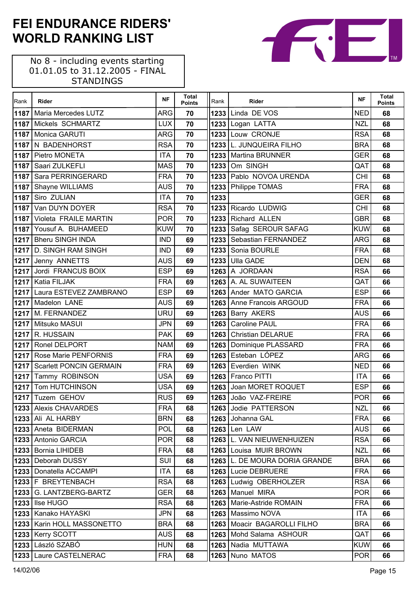| Rank | Rider                          | <b>NF</b>  | <b>Total</b><br><b>Points</b> | Rank | Rider                         | <b>NF</b>  | <b>Total</b><br><b>Points</b> |
|------|--------------------------------|------------|-------------------------------|------|-------------------------------|------------|-------------------------------|
| 1187 | Maria Mercedes LUTZ            | <b>ARG</b> | 70                            |      | <b>1233 Linda DE VOS</b>      | <b>NED</b> | 68                            |
| 1187 | Mickels SCHMARTZ               | <b>LUX</b> | 70                            |      | 1233 Logan LATTA              | <b>NZL</b> | 68                            |
| 1187 | Monica GARUTI                  | <b>ARG</b> | 70                            |      | 1233 Louw CRONJE              | <b>RSA</b> | 68                            |
| 1187 | N BADENHORST                   | <b>RSA</b> | 70                            |      | 1233 L. JUNQUEIRA FILHO       | <b>BRA</b> | 68                            |
| 1187 | Pietro MONETA                  | <b>ITA</b> | 70                            |      | 1233   Martina BRUNNER        | <b>GER</b> | 68                            |
|      | 1187 Saari ZULKEFLI            | <b>MAS</b> | 70                            | 1233 | Om SINGH                      | QAT        | 68                            |
| 1187 | Sara PERRINGERARD              | <b>FRA</b> | 70                            |      | 1233 Pablo NOVOA URENDA       | <b>CHI</b> | 68                            |
|      | 1187 Shayne WILLIAMS           | <b>AUS</b> | 70                            |      | 1233 Philippe TOMAS           | <b>FRA</b> | 68                            |
| 1187 | Siro ZULIAN                    | <b>ITA</b> | 70                            | 1233 |                               | <b>GER</b> | 68                            |
| 1187 | Van DUYN DOYER                 | <b>RSA</b> | 70                            |      | 1233 Ricardo LUDWIG           | <b>CHI</b> | 68                            |
| 1187 | Violeta FRAILE MARTIN          | <b>POR</b> | 70                            |      | 1233 Richard ALLEN            | <b>GBR</b> | 68                            |
|      | 1187 Yousuf A. BUHAMEED        | <b>KUW</b> | 70                            |      | 1233 Safag SEROUR SAFAG       | <b>KUW</b> | 68                            |
|      | 1217   Bheru SINGH INDA        | <b>IND</b> | 69                            |      | 1233   Sebastian FERNANDEZ    | <b>ARG</b> | 68                            |
|      | 1217 D. SINGH RAM SINGH        | <b>IND</b> | 69                            |      | 1233 Sonia BOURLE             | <b>FRA</b> | 68                            |
|      | 1217 Jenny ANNETTS             | <b>AUS</b> | 69                            | 1233 | <b>Ulla GADE</b>              | <b>DEN</b> | 68                            |
| 1217 | Jordi FRANCUS BOIX             | <b>ESP</b> | 69                            |      | <b>1263 A JORDAAN</b>         | <b>RSA</b> | 66                            |
| 1217 | <b>Katia FILJAK</b>            | <b>FRA</b> | 69                            |      | 1263 A. AL SUWAITEEN          | QAT        | 66                            |
| 1217 | Laura ESTEVEZ ZAMBRANO         | <b>ESP</b> | 69                            |      | 1263 Ander MATO GARCIA        | <b>ESP</b> | 66                            |
|      | 1217 Madelon LANE              | <b>AUS</b> | 69                            |      | 1263   Anne Francois ARGOUD   | <b>FRA</b> | 66                            |
|      | 1217   M. FERNANDEZ            | URU        | 69                            |      | 1263 Barry AKERS              | <b>AUS</b> | 66                            |
| 1217 | Mitsuko MASUI                  | <b>JPN</b> | 69                            |      | 1263   Caroline PAUL          | <b>FRA</b> | 66                            |
| 1217 | R. HUSSAIN                     | <b>PAK</b> | 69                            |      | 1263 Christian DELARUE        | <b>FRA</b> | 66                            |
| 1217 | Ronel DELPORT                  | <b>NAM</b> | 69                            | 1263 | Dominique PLASSARD            | <b>FRA</b> | 66                            |
| 1217 | <b>Rose Marie PENFORNIS</b>    | <b>FRA</b> | 69                            |      | 1263 Esteban LOPEZ            | <b>ARG</b> | 66                            |
| 1217 | <b>Scarlett PONCIN GERMAIN</b> | <b>FRA</b> | 69                            |      | 1263 Everdien WINK            | <b>NED</b> | 66                            |
|      | 1217 Tammy ROBINSON            | <b>USA</b> | 69                            |      | 1263 Franco PITTI             | <b>ITA</b> | 66                            |
| 1217 | Tom HUTCHINSON                 | <b>USA</b> | 69                            |      | 1263 Joan MORET ROQUET        | <b>ESP</b> | 66                            |
|      | 1217 Tuzem GEHOV               | <b>RUS</b> | 69                            |      | 1263 João VAZ-FREIRE          | <b>POR</b> | 66                            |
|      | 1233 Alexis CHAVARDES          | <b>FRA</b> | 68                            |      | 1263 Jodie PATTERSON          | <b>NZL</b> | 66                            |
|      | 1233 Ali AL HARBY              | <b>BRN</b> | 68                            |      | 1263 Johanna GAL              | <b>FRA</b> | 66                            |
| 1233 | Aneta BIDERMAN                 | POL        | 68                            |      | <b>1263</b> Len LAW           | <b>AUS</b> | 66                            |
| 1233 | Antonio GARCIA                 | <b>POR</b> | 68                            |      | 1263 L. VAN NIEUWENHUIZEN     | <b>RSA</b> | 66                            |
| 1233 | <b>Bornia LIHIDEB</b>          | <b>FRA</b> | 68                            |      | 1263 Louisa MUIR BROWN        | <b>NZL</b> | 66                            |
| 1233 | Deborah DUSSY                  | SUI        | 68                            |      | 1263 L. DE MOURA DORIA GRANDE | <b>BRA</b> | 66                            |
| 1233 | Donatella ACCAMPI              | <b>ITA</b> | 68                            |      | 1263 Lucie DEBRUERE           | <b>FRA</b> | 66                            |
|      | 1233   F BREYTENBACH           | <b>RSA</b> | 68                            |      | 1263 Ludwig OBERHOLZER        | <b>RSA</b> | 66                            |
| 1233 | G. LANTZBERG-BARTZ             | <b>GER</b> | 68                            |      | 1263   Manuel MIRA            | <b>POR</b> | 66                            |
| 1233 | Ilse HUGO                      | <b>RSA</b> | 68                            | 1263 | Marie-Astride ROMAIN          | <b>FRA</b> | 66                            |
| 1233 | Kanako HAYASKI                 | <b>JPN</b> | 68                            | 1263 | Massimo NOVA                  | <b>ITA</b> | 66                            |
| 1233 | Karin HOLL MASSONETTO          | <b>BRA</b> | 68                            |      | 1263   Moacir BAGAROLLI FILHO | <b>BRA</b> | 66                            |
| 1233 | Kerry SCOTT                    | <b>AUS</b> | 68                            | 1263 | Mohd Salama ASHOUR            | QAT        | 66                            |
| 1233 | László SZABÓ                   | <b>HUN</b> | 68                            | 1263 | Nadia MUTTAWA                 | <b>KUW</b> | 66                            |
| 1233 | Laure CASTELNERAC              | <b>FRA</b> | 68                            | 1263 | Nuno MATOS                    | <b>POR</b> | 66                            |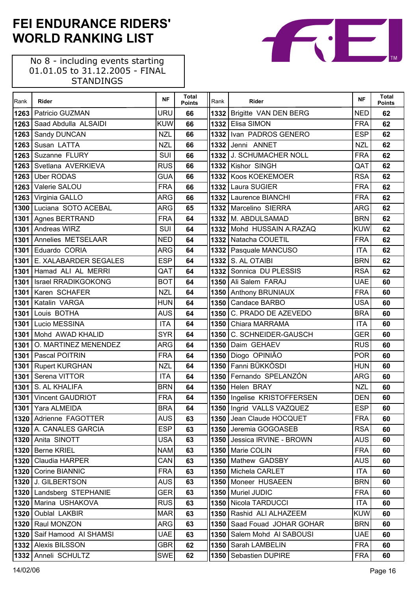| Rank | Rider                      | <b>NF</b>  | <b>Total</b><br><b>Points</b> | Rank  | Rider                       | <b>NF</b>  | <b>Total</b><br><b>Points</b> |
|------|----------------------------|------------|-------------------------------|-------|-----------------------------|------------|-------------------------------|
| 1263 | Patricio GUZMAN            | <b>URU</b> | 66                            |       | 1332 Brigitte VAN DEN BERG  | NED        | 62                            |
| 1263 | Saad Abdulla ALSAIDI       | <b>KUW</b> | 66                            |       | 1332 Elisa SIMON            | <b>FRA</b> | 62                            |
| 1263 | Sandy DUNCAN               | <b>NZL</b> | 66                            | 13321 | Ivan PADROS GENERO          | <b>ESP</b> | 62                            |
| 1263 | Susan LATTA                | <b>NZL</b> | 66                            |       | 1332 Jenni ANNET            | <b>NZL</b> | 62                            |
| 1263 | Suzanne FLURY              | SUI        | 66                            |       | 1332 J. SCHUMACHER NOLL     | <b>FRA</b> | 62                            |
| 1263 | Svetlana AVERKIEVA         | <b>RUS</b> | 66                            |       | 1332 Kishor SINGH           | QAT        | 62                            |
| 1263 | <b>Uber RODAS</b>          | <b>GUA</b> | 66                            |       | 1332 Koos KOEKEMOER         | <b>RSA</b> | 62                            |
| 1263 | Valerie SALOU              | <b>FRA</b> | 66                            |       | 1332 Laura SUGIER           | <b>FRA</b> | 62                            |
| 1263 | Virginia GALLO             | <b>ARG</b> | 66                            |       | 1332 Laurence BIANCHI       | <b>FRA</b> | 62                            |
| 1300 | Luciana SOTO ACEBAL        | <b>ARG</b> | 65                            |       | 1332 Marcelino SIERRA       | <b>ARG</b> | 62                            |
| 1301 | Agnes BERTRAND             | <b>FRA</b> | 64                            |       | 1332 M. ABDULSAMAD          | <b>BRN</b> | 62                            |
| 1301 | Andreas WIRZ               | SUI        | 64                            |       | 1332 Mohd HUSSAIN A.RAZAQ   | <b>KUW</b> | 62                            |
| 1301 | Annelies METSELAAR         | <b>NED</b> | 64                            |       | 1332 Natacha COUETIL        | <b>FRA</b> | 62                            |
| 1301 | Eduardo CORIA              | <b>ARG</b> | 64                            |       | 1332 Pasquale MANCUSO       | <b>ITA</b> | 62                            |
| 1301 | E. XALABARDER SEGALES      | <b>ESP</b> | 64                            |       | <b>1332   S. AL OTAIBI</b>  | <b>BRN</b> | 62                            |
| 1301 | Hamad ALI AL MERRI         | QAT        | 64                            |       | 1332 Sonnica DU PLESSIS     | <b>RSA</b> | 62                            |
| 1301 | <b>Israel RRADIKGOKONG</b> | <b>BOT</b> | 64                            |       | 1350 Ali Salem FARAJ        | <b>UAE</b> | 60                            |
| 1301 | Karen SCHAFER              | <b>NZL</b> | 64                            |       | 1350 Anthony BRUNIAUX       | <b>FRA</b> | 60                            |
| 1301 | Katalin VARGA              | <b>HUN</b> | 64                            |       | 1350 Candace BARBO          | <b>USA</b> | 60                            |
| 1301 | Louis BOTHA                | <b>AUS</b> | 64                            |       | 1350 C. PRADO DE AZEVEDO    | <b>BRA</b> | 60                            |
| 1301 | Lucio MESSINA              | <b>ITA</b> | 64                            |       | 1350 Chiara MARRAMA         | <b>ITA</b> | 60                            |
| 1301 | Mohd AWAD KHALID           | <b>SYR</b> | 64                            |       | 1350 C. SCHNEIDER-GAUSCH    | <b>GER</b> | 60                            |
| 1301 | O. MARTINEZ MENENDEZ       | <b>ARG</b> | 64                            |       | 1350 Daim GEHAEV            | <b>RUS</b> | 60                            |
| 1301 | Pascal POITRIN             | <b>FRA</b> | 64                            |       | 1350 Diogo OPINIÃO          | <b>POR</b> | 60                            |
| 1301 | <b>Rupert KURGHAN</b>      | <b>NZL</b> | 64                            |       | 1350 Fanni BÜKKÖSDI         | <b>HUN</b> | 60                            |
| 1301 | Serena VITTOR              | <b>ITA</b> | 64                            |       | 1350 Fernando SPELANZÓN     | <b>ARG</b> | 60                            |
| 1301 | S. AL KHALIFA              | <b>BRN</b> | 64                            |       | 1350 Helen BRAY             | <b>NZL</b> | 60                            |
| 1301 | <b>Vincent GAUDRIOT</b>    | <b>FRA</b> | 64                            |       | 1350 Ingelise KRISTOFFERSEN | <b>DEN</b> | 60                            |
|      | 1301 Yara ALMEIDA          | <b>BRA</b> | 64                            |       | 1350 Ingrid VALLS VAZQUEZ   | <b>ESP</b> | 60                            |
|      | 1320 Adrienne FAGOTTER     | <b>AUS</b> | 63                            |       | 1350 Jean Claude HOCQUET    | <b>FRA</b> | 60                            |
| 1320 | A. CANALES GARCIA          | <b>ESP</b> | 63                            |       | 1350   Jeremia GOGOASEB     | <b>RSA</b> | 60                            |
| 1320 | Anita SINOTT               | <b>USA</b> | 63                            |       | 1350 Jessica IRVINE - BROWN | <b>AUS</b> | 60                            |
| 1320 | <b>Berne KRIEL</b>         | <b>NAM</b> | 63                            |       | 1350   Marie COLIN          | <b>FRA</b> | 60                            |
| 1320 | Claudia HARPER             | CAN        | 63                            |       | 1350   Mathew GADSBY        | <b>AUS</b> | 60                            |
| 1320 | Corine BIANNIC             | <b>FRA</b> | 63                            |       | 1350   Michela CARLET       | <b>ITA</b> | 60                            |
|      | 1320 J. GILBERTSON         | <b>AUS</b> | 63                            |       | 1350   Moneer HUSAEEN       | <b>BRN</b> | 60                            |
| 1320 | Landsberg STEPHANIE        | <b>GER</b> | 63                            | 1350  | Muriel JUDIC                | <b>FRA</b> | 60                            |
| 1320 | Marina USHAKOVA            | <b>RUS</b> | 63                            |       | 1350 Nicola TARDUCCI        | <b>ITA</b> | 60                            |
| 1320 | <b>Oublal LAKBIR</b>       | <b>MAR</b> | 63                            |       | 1350 Rashid ALI ALHAZEEM    | <b>KUW</b> | 60                            |
| 1320 | Raul MONZON                | <b>ARG</b> | 63                            | 1350  | Saad Fouad JOHAR GOHAR      | <b>BRN</b> | 60                            |
| 1320 | Saif Hamood AI SHAMSI      | <b>UAE</b> | 63                            | 1350  | Salem Mohd AI SABOUSI       | <b>UAE</b> | 60                            |
| 1332 | <b>Alexis BILSSON</b>      | <b>GBR</b> | 62                            | 1350  | Sarah LAMBELIN              | <b>FRA</b> | 60                            |
|      | 1332 Anneli SCHULTZ        | <b>SWE</b> | 62                            |       | 1350   Sebastien DUPIRE     | <b>FRA</b> | 60                            |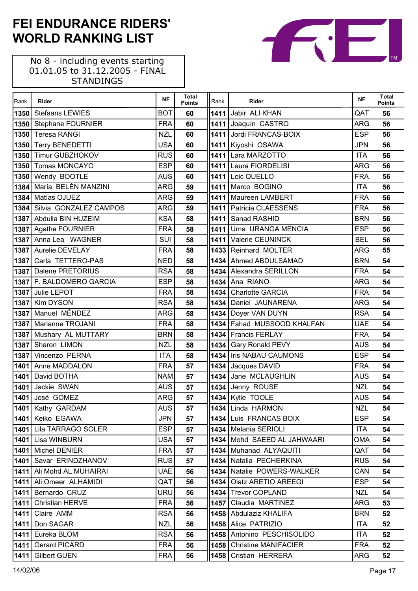| Rank | Rider                      | <b>NF</b>  | <b>Total</b><br><b>Points</b> | Rank | Rider                       | <b>NF</b>  | <b>Total</b><br><b>Points</b> |
|------|----------------------------|------------|-------------------------------|------|-----------------------------|------------|-------------------------------|
| 1350 | <b>Stefaans LEWIES</b>     | <b>BOT</b> | 60                            |      | 1411 Jabir ALI KHAN         | QAT        | 56                            |
| 1350 | <b>Stephane FOURNIER</b>   | <b>FRA</b> | 60                            |      | 1411 Joaquín CASTRO         | <b>ARG</b> | 56                            |
| 1350 | <b>Teresa RANGI</b>        | <b>NZL</b> | 60                            |      | 1411 Jordi FRANCAS-BOIX     | <b>ESP</b> | 56                            |
| 1350 | <b>Terry BENEDETTI</b>     | <b>USA</b> | 60                            |      | 1411 Kiyoshi OSAWA          | <b>JPN</b> | 56                            |
| 1350 | <b>Timur GUBZHOKOV</b>     | <b>RUS</b> | 60                            |      | 1411 Lara MARZOTTO          | <b>ITA</b> | 56                            |
| 1350 | <b>Tomas MONCAYO</b>       | <b>ESP</b> | 60                            |      | 1411 Laura FIORDELISI       | <b>ARG</b> | 56                            |
| 1350 | Wendy BOOTLE               | <b>AUS</b> | 60                            | 1411 | Loic QUELLO                 | <b>FRA</b> | 56                            |
| 1384 | María BELÉN MANZINI        | <b>ARG</b> | 59                            |      | 1411 Marco BOGINO           | <b>ITA</b> | 56                            |
| 1384 | Matías OJUEZ               | <b>ARG</b> | 59                            |      | 1411   Maureen LAMBERT      | <b>FRA</b> | 56                            |
| 1384 | Silvia GONZALEZ CAMPOS     | <b>ARG</b> | 59                            |      | 1411   Patricia CLAESSENS   | <b>FRA</b> | 56                            |
| 1387 | Abdulla BIN HUZEIM         | <b>KSA</b> | 58                            | 1411 | Sanad RASHID                | <b>BRN</b> | 56                            |
| 1387 | Agathe FOURNIER            | <b>FRA</b> | 58                            |      | 1411 Uma URANGA MENCIA      | <b>ESP</b> | 56                            |
| 1387 | Anna Lea WAGNER            | SUI        | 58                            | 1411 | Valerie CEUNINCK            | <b>BEL</b> | 56                            |
| 1387 | Aurelie DEVELAY            | <b>FRA</b> | 58                            |      | 1433 Reinhard MOLTER        | <b>ARG</b> | 55                            |
| 1387 | Carla TETTERO-PAS          | <b>NED</b> | 58                            | 1434 | Ahmed ABDULSAMAD            | <b>BRN</b> | 54                            |
| 1387 | Dalene PRETORIUS           | <b>RSA</b> | 58                            |      | 1434 Alexandra SERILLON     | <b>FRA</b> | 54                            |
| 1387 | <b>F. BALDOMERO GARCIA</b> | <b>ESP</b> | 58                            |      | 1434 Ana RIANO              | <b>ARG</b> | 54                            |
| 1387 | Julie LEPOT                | <b>FRA</b> | 58                            | 1434 | <b>Charlotte GARCIA</b>     | <b>FRA</b> | 54                            |
| 1387 | <b>Kim DYSON</b>           | <b>RSA</b> | 58                            | 1434 | Daniel JAUNARENA            | <b>ARG</b> | 54                            |
| 1387 | Manuel MÉNDEZ              | <b>ARG</b> | 58                            |      | 1434   Doyer VAN DUYN       | <b>RSA</b> | 54                            |
| 1387 | Marianne TROJANI           | <b>FRA</b> | 58                            |      | 1434 Fahad MUSSOOD KHALFAN  | <b>UAE</b> | 54                            |
| 1387 | Mushary AL MUTTARY         | <b>BRN</b> | 58                            |      | 1434 Francis FERLAY         | <b>FRA</b> | 54                            |
| 1387 | Sharon LIMON               | <b>NZL</b> | 58                            | 1434 | <b>Gary Ronald PEVY</b>     | <b>AUS</b> | 54                            |
| 1387 | Vincenzo PERNA             | <b>ITA</b> | 58                            |      | 1434   Iris NABAU CAUMONS   | <b>ESP</b> | 54                            |
| 1401 | Anne MADDALON              | <b>FRA</b> | 57                            |      | 1434 Jacques DAVID          | <b>FRA</b> | 54                            |
| 1401 | David BOTHA                | <b>NAM</b> | 57                            |      | 1434 Jane MCLAUGHLIN        | <b>AUS</b> | 54                            |
| 1401 | Jackie SWAN                | <b>AUS</b> | 57                            |      | 1434 Jenny ROUSE            | <b>NZL</b> | 54                            |
| 1401 | José GÓMEZ                 | <b>ARG</b> | 57                            |      | 1434 Kylie TOOLE            | <b>AUS</b> | 54                            |
|      | 1401 Kathy GARDAM          | <b>AUS</b> | 57                            |      | 1434 Linda HARMON           | <b>NZL</b> | 54                            |
|      | 1401 Keiko EGAWA           | <b>JPN</b> | 57                            |      | 1434 Luis FRANCAS BOIX      | <b>ESP</b> | 54                            |
| 1401 | Lila TARRAGO SOLER         | <b>ESP</b> | 57                            |      | 1434   Melania SERIOLI      | <b>ITA</b> | 54                            |
|      | 1401 Lisa WINBURN          | <b>USA</b> | 57                            |      | 1434 Mohd SAEED AL JAHWAARI | <b>OMA</b> | 54                            |
| 1401 | Michel DENIER              | <b>FRA</b> | 57                            | 1434 | Muhanad ALYAQUITI           | QAT        | 54                            |
| 1401 | Savar ERINDZHANOV          | <b>RUS</b> | 57                            |      | 1434 Natalia PECHERKINA     | <b>RUS</b> | 54                            |
| 1411 | Ali Mohd AL MUHAIRAI       | <b>UAE</b> | 56                            | 1434 | Natalie POWERS-WALKER       | CAN        | 54                            |
| 1411 | Ali Omeer ALHAMIDI         | QAT        | 56                            | 1434 | Olatz ARETIO AREEGI         | <b>ESP</b> | 54                            |
| 1411 | Bernardo CRUZ              | <b>URU</b> | 56                            | 1434 | <b>Trevor COPLAND</b>       | NZL        | 54                            |
| 1411 | <b>Christian HERVE</b>     | <b>FRA</b> | 56                            | 1457 | Claudia MARTINEZ            | <b>ARG</b> | 53                            |
| 1411 | Claire AMM                 | <b>RSA</b> | 56                            | 1458 | Abdulaziz KHALIFA           | <b>BRN</b> | 52                            |
| 1411 | Don SAGAR                  | <b>NZL</b> | 56                            |      | 1458 Alice PATRIZIO         | <b>ITA</b> | 52                            |
| 1411 | Eureka BLOM                | <b>RSA</b> | 56                            | 1458 | Antonino PESCHISOLIDO       | <b>ITA</b> | 52                            |
| 1411 | <b>Gerard PICARD</b>       | <b>FRA</b> | 56                            | 1458 | <b>Christine MANIFACIER</b> | <b>FRA</b> | 52                            |
| 1411 | <b>Gilbert GUEN</b>        | <b>FRA</b> | 56                            | 1458 | Cristian HERRERA            | <b>ARG</b> | 52                            |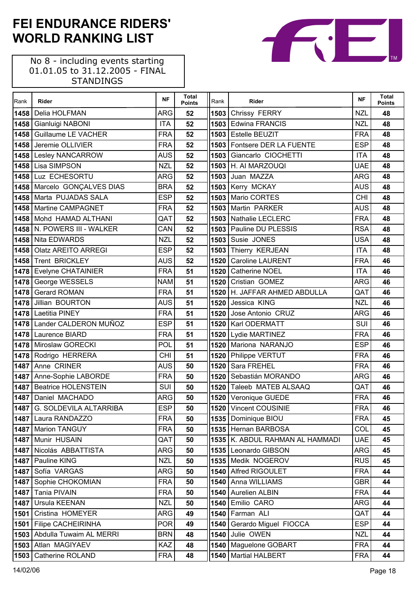No 8 - including events starting 01.01.05 to 31.12.2005 - FINAL STANDINGS

 $\Gamma$ 

| Rank | Rider                       | <b>NF</b>  | <b>Total</b><br><b>Points</b> | Rank | Rider                           | <b>NF</b>  | <b>Total</b><br><b>Points</b> |
|------|-----------------------------|------------|-------------------------------|------|---------------------------------|------------|-------------------------------|
| 1458 | Delia HOLFMAN               | ARG        | 52                            |      | 1503 Chrissy FERRY              | <b>NZL</b> | 48                            |
| 1458 | Gianluigi NABONI            | <b>ITA</b> | 52                            |      | 1503 Edwina FRANCIS             | <b>NZL</b> | 48                            |
| 1458 | <b>Guillaume LE VACHER</b>  | <b>FRA</b> | 52                            |      | 1503 Estelle BEUZIT             | <b>FRA</b> | 48                            |
| 1458 | Jeremie OLLIVIER            | <b>FRA</b> | 52                            |      | 1503 Fontsere DER LA FUENTE     | <b>ESP</b> | 48                            |
| 1458 | <b>Lesley NANCARROW</b>     | <b>AUS</b> | 52                            | 1503 | Giancarlo CIOCHETTI             | <b>ITA</b> | 48                            |
| 1458 | Lisa SIMPSON                | <b>NZL</b> | 52                            |      | <b>1503 H. AI MARZOUQI</b>      | <b>UAE</b> | 48                            |
| 1458 | Luz ECHESORTU               | <b>ARG</b> | 52                            |      | 1503 Juan MAZZA                 | <b>ARG</b> | 48                            |
| 1458 | Marcelo GONÇALVES DIAS      | <b>BRA</b> | 52                            |      | 1503 Kerry MCKAY                | <b>AUS</b> | 48                            |
| 1458 | Marta PUJADAS SALA          | <b>ESP</b> | 52                            |      | 1503 Mario CORTES               | <b>CHI</b> | 48                            |
| 1458 | <b>Martine CAMPAGNET</b>    | <b>FRA</b> | 52                            |      | 1503 Martin PARKER              | <b>AUS</b> | 48                            |
| 1458 | Mohd HAMAD ALTHANI          | QAT        | 52                            |      | 1503 Nathalie LECLERC           | <b>FRA</b> | 48                            |
| 1458 | N. POWERS III - WALKER      | CAN        | 52                            |      | 1503 Pauline DU PLESSIS         | <b>RSA</b> | 48                            |
| 1458 | Nita EDWARDS                | <b>NZL</b> | 52                            |      | 1503 Susie JONES                | <b>USA</b> | 48                            |
| 1458 | <b>Olatz AREITO ARREGI</b>  | <b>ESP</b> | 52                            |      | 1503 Thierry KERJEAN            | <b>ITA</b> | 48                            |
| 1458 | Trent BRICKLEY              | <b>AUS</b> | 52                            | 1520 | <b>Caroline LAURENT</b>         | <b>FRA</b> | 46                            |
| 1478 | <b>Evelyne CHATAINIER</b>   | <b>FRA</b> | 51                            |      | 1520 Catherine NOEL             | <b>ITA</b> | 46                            |
| 1478 | George WESSELS              | <b>NAM</b> | 51                            | 1520 | Cristian GOMEZ                  | <b>ARG</b> | 46                            |
| 1478 | <b>Gerard ROMAN</b>         | <b>FRA</b> | 51                            |      | 1520 H. JAFFAR AHMED ABDULLA    | QAT        | 46                            |
| 1478 | Jillian BOURTON             | <b>AUS</b> | 51                            | 1520 | Jessica KING                    | <b>NZL</b> | 46                            |
| 1478 | Laetitia PINEY              | <b>FRA</b> | 51                            |      | 1520 Jose Antonio CRUZ          | <b>ARG</b> | 46                            |
| 1478 | Lander CALDERON MUÑOZ       | <b>ESP</b> | 51                            |      | 1520   Karl ODERMATT            | SUI        | 46                            |
| 1478 | Laurence BIARD              | <b>FRA</b> | 51                            |      | 1520 Lydie MARTINEZ             | <b>FRA</b> | 46                            |
| 1478 | Miroslaw GORECKI            | <b>POL</b> | 51                            |      | 1520 Mariona NARANJO            | <b>ESP</b> | 46                            |
| 1478 | Rodrigo HERRERA             | <b>CHI</b> | 51                            |      | 1520 Philippe VERTUT            | <b>FRA</b> | 46                            |
| 1487 | Anne CRINER                 | <b>AUS</b> | 50                            | 1520 | Sara FREHEL                     | <b>FRA</b> | 46                            |
| 1487 | Anne-Sophie LABORDE         | <b>FRA</b> | 50                            |      | 1520 Sebastián MORANDO          | <b>ARG</b> | 46                            |
| 1487 | <b>Beatrice HOLENSTEIN</b>  | SUI        | 50                            | 1520 | Taleeb MATEB ALSAAQ             | QAT        | 46                            |
|      | 1487 Daniel MACHADO         | <b>ARG</b> | 50                            |      | 1520 Veronique GUEDE            | <b>FRA</b> | 46                            |
|      | 1487 G. SOLDEVILA ALTARRIBA | <b>ESP</b> | 50                            |      | 1520 Vincent COUSINIE           | <b>FRA</b> | 46                            |
| 1487 | Laura RANDAZZO              | <b>FRA</b> | 50                            |      | 1535   Dominique BIOU           | <b>FRA</b> | 45                            |
| 1487 | <b>Marion TANGUY</b>        | <b>FRA</b> | 50                            |      | 1535 Hernan BARBOSA             | COL        | 45                            |
| 1487 | Munir HUSAIN                | QAT        | 50                            |      | 1535 K. ABDUL RAHMAN AL HAMMADI | <b>UAE</b> | 45                            |
| 1487 | Nicolás ABBATTISTA          | ARG        | 50                            |      | 1535 Leonardo GIBSON            | ARG        | 45                            |
| 1487 | Pauline KING                | <b>NZL</b> | 50                            |      | 1535 Medik NOGEROV              | <b>RUS</b> | 45                            |
| 1487 | Sofía VARGAS                | ARG        | 50                            |      | 1540 Alfred RIGOULET            | <b>FRA</b> | 44                            |
| 1487 | Sophie CHOKOMIAN            | <b>FRA</b> | 50                            |      | 1540 Anna WILLIAMS              | <b>GBR</b> | 44                            |
| 1487 | Tania PIVAIN                | <b>FRA</b> | 50                            | 1540 | Aurelien ALBIN                  | <b>FRA</b> | 44                            |
| 1487 | Ursula KEENAN               | <b>NZL</b> | 50                            | 1540 | Emilio CARO                     | <b>ARG</b> | 44                            |
| 1501 | Cristina HOMEYER            | ARG        | 49                            | 1540 | Farman ALI                      | QAT        | 44                            |
| 1501 | <b>Filipe CACHEIRINHA</b>   | <b>POR</b> | 49                            | 1540 | Gerardo Miguel FIOCCA           | <b>ESP</b> | 44                            |
| 1503 | Abdulla Tuwaim AL MERRI     | <b>BRN</b> | 48                            | 1540 | Julie OWEN                      | <b>NZL</b> | 44                            |
| 1503 | Atlan MAGIYAEV              | KAZ        | 48                            |      | 1540   Maguelone GOBART         | <b>FRA</b> | 44                            |
| 1503 | <b>Catherine ROLAND</b>     | <b>FRA</b> | 48                            | 1540 | <b>Martial HALBERT</b>          | <b>FRA</b> | 44                            |

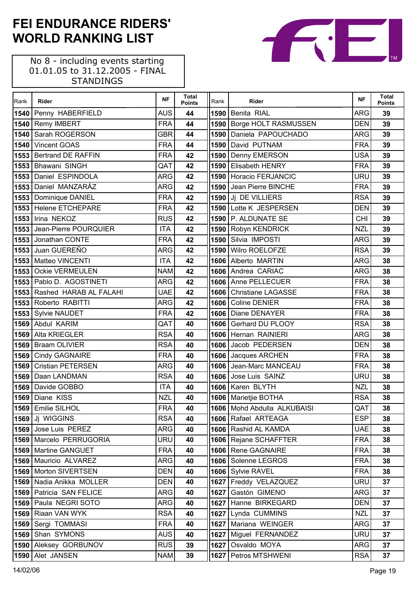No 8 - including events starting 01.01.05 to 31.12.2005 - FINAL STANDINGS

 $\Gamma$ 

| Rank | Rider                       | <b>NF</b>  | <b>Total</b><br><b>Points</b> | Rank | Rider                       | <b>NF</b>  | <b>Total</b><br><b>Points</b> |
|------|-----------------------------|------------|-------------------------------|------|-----------------------------|------------|-------------------------------|
|      | 1540 Penny HABERFIELD       | <b>AUS</b> | 44                            | 1590 | Benita RIAL                 | <b>ARG</b> | 39                            |
|      | 1540 Remy IMBERT            | <b>FRA</b> | 44                            |      | 1590 Borge HOLT RASMUSSEN   | <b>DEN</b> | 39                            |
| 1540 | Sarah ROGERSON              | <b>GBR</b> | 44                            | 1590 | Daniela PAPOUCHADO          | <b>ARG</b> | 39                            |
| 1540 | Vincent GOAS                | <b>FRA</b> | 44                            | 1590 | David PUTNAM                | <b>FRA</b> | 39                            |
| 1553 | Bertrand DE RAFFIN          | <b>FRA</b> | 42                            |      | 1590 Denny EMERSON          | <b>USA</b> | 39                            |
|      | 1553 Bhawani SINGH          | QAT        | 42                            |      | 1590 Elisabeth HENRY        | <b>FRA</b> | 39                            |
| 1553 | Daniel ESPINDOLA            | <b>ARG</b> | 42                            |      | 1590 Horacio FERJANCIC      | <b>URU</b> | 39                            |
|      | 1553 Daniel MANZARÁZ        | <b>ARG</b> | 42                            |      | 1590 Jean Pierre BINCHE     | <b>FRA</b> | 39                            |
|      | 1553   Dominique DANIEL     | <b>FRA</b> | 42                            |      | 1590 Ji DE VILLIERS         | <b>RSA</b> | 39                            |
|      | 1553 Helene ETCHEPARE       | <b>FRA</b> | 42                            |      | 1590 Lotte K JESPERSEN      | <b>DEN</b> | 39                            |
|      | 1553 Irina NEKOZ            | <b>RUS</b> | 42                            |      | 1590 P. ALDUNATE SE         | <b>CHI</b> | 39                            |
| 1553 | Jean-Pierre POURQUIER       | <b>ITA</b> | 42                            |      | 1590 Robyn KENDRICK         | <b>NZL</b> | 39                            |
| 1553 | Jonathan CONTE              | <b>FRA</b> | 42                            | 1590 | Silvia IMPOSTI              | <b>ARG</b> | 39                            |
|      | 1553 Juan GUEREÑO           | <b>ARG</b> | 42                            | 1590 | Wilro ROELOFZE              | <b>RSA</b> | 39                            |
|      | 1553 Matteo VINCENTI        | <b>ITA</b> | 42                            |      | 1606 Alberto MARTIN         | <b>ARG</b> | 38                            |
| 1553 | <b>Ockie VERMEULEN</b>      | <b>NAM</b> | 42                            |      | 1606 Andrea CARIAC          | <b>ARG</b> | 38                            |
|      | 1553 Pablo D. AGOSTINETI    | <b>ARG</b> | 42                            |      | 1606 Anne PELLECUER         | <b>FRA</b> | 38                            |
|      | 1553 Rashed HARAB AL FALAHI | <b>UAE</b> | 42                            |      | 1606 Christiane LAGASSE     | <b>FRA</b> | 38                            |
|      | 1553 Roberto RABITTI        | <b>ARG</b> | 42                            | 1606 | <b>Coline DENIER</b>        | <b>FRA</b> | 38                            |
|      | 1553 Sylvie NAUDET          | <b>FRA</b> | 42                            |      | 1606   Diane DENAYER        | <b>FRA</b> | 38                            |
|      | 1569 Abdul KARIM            | QAT        | 40                            |      | 1606 Gerhard DU PLOOY       | <b>RSA</b> | 38                            |
| 1569 | <b>Alta KRIEGLER</b>        | <b>RSA</b> | 40                            |      | 1606 Hernan RAINIERI        | <b>ARG</b> | 38                            |
| 1569 | <b>Braam OLIVIER</b>        | <b>RSA</b> | 40                            |      | 1606 Jacob PEDERSEN         | <b>DEN</b> | 38                            |
| 1569 | <b>Cindy GAGNAIRE</b>       | <b>FRA</b> | 40                            |      | 1606 Jacques ARCHEN         | <b>FRA</b> | 38                            |
| 1569 | <b>Cristian PETERSEN</b>    | <b>ARG</b> | 40                            |      | 1606 Jean-Marc MANCEAU      | <b>FRA</b> | 38                            |
| 1569 | Daan LANDMAN                | <b>RSA</b> | 40                            |      | 1606 Jose Luis SAINZ        | <b>URU</b> | 38                            |
| 1569 | Davide GOBBO                | <b>ITA</b> | 40                            |      | 1606 Karen BLYTH            | <b>NZL</b> | 38                            |
|      | 1569 Diane KISS             | <b>NZL</b> | 40                            |      | 1606   Marietjie BOTHA      | <b>RSA</b> | 38                            |
|      | 1569 Emilie SILHOL          | <b>FRA</b> | 40                            |      | 1606 Mohd Abdulla ALKUBAISI | QAT        | 38                            |
|      | 1569 Jj WIGGINS             | <b>RSA</b> | 40                            |      | 1606 Rafael ARTEAGA         | <b>ESP</b> | 38                            |
| 1569 | Jose Luis PEREZ             | ARG        | 40                            |      | 1606 Rashid AL KAMDA        | <b>UAE</b> | 38                            |
|      | 1569 Marcelo PERRUGORIA     | <b>URU</b> | 40                            |      | 1606 Rejane SCHAFFTER       | <b>FRA</b> | 38                            |
|      | 1569   Martine GANGUET      | <b>FRA</b> | 40                            |      | 1606 Rene GAGNAIRE          | <b>FRA</b> | 38                            |
|      | 1569 Mauricio ALVAREZ       | <b>ARG</b> | 40                            |      | 1606   Solenne LEGROS       | <b>FRA</b> | 38                            |
|      | 1569 Morton SIVERTSEN       | <b>DEN</b> | 40                            |      | 1606 Sylvie RAVEL           | <b>FRA</b> | 38                            |
|      | 1569 Nadia Anikka MOLLER    | <b>DEN</b> | 40                            |      | 1627 Freddy VELAZQUEZ       | <b>URU</b> | 37                            |
|      | 1569 Patricia SAN FELICE    | <b>ARG</b> | 40                            | 1627 | Gastón GIMENO               | <b>ARG</b> | 37                            |
|      | 1569 Paula NEGRI SOTO       | <b>ARG</b> | 40                            |      | 1627 Hanne BIRKEGARD        | <b>DEN</b> | 37                            |
|      | 1569 Riaan VAN WYK          | <b>RSA</b> | 40                            |      | 1627 Lynda CUMMINS          | <b>NZL</b> | 37                            |
| 1569 | Sergi TOMMASI               | <b>FRA</b> | 40                            |      | 1627 Mariana WEINGER        | <b>ARG</b> | 37                            |
|      | 1569 Shan SYMONS            | <b>AUS</b> | 40                            | 1627 | Miguel FERNANDEZ            | <b>URU</b> | 37                            |
|      | 1590 Aleksey GORBUNOV       | <b>RUS</b> | 39                            | 1627 | Osvaldo MOYA                | <b>ARG</b> | 37                            |
|      | 1590 Alet JANSEN            | <b>NAM</b> | 39                            |      | 1627   Petros MTSHWENI      | <b>RSA</b> | 37                            |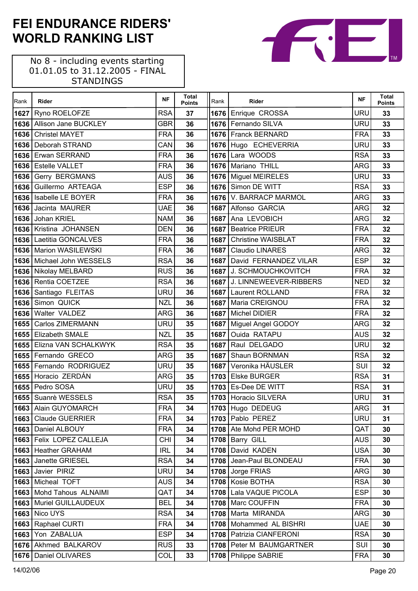No 8 - including events starting 01.01.05 to 31.12.2005 - FINAL STANDINGS

 $\mathsf{r}$ 

| Rank | Rider                       | <b>NF</b>  | <b>Total</b><br><b>Points</b> | Rank | Rider                       | <b>NF</b>  | <b>Total</b><br><b>Points</b> |
|------|-----------------------------|------------|-------------------------------|------|-----------------------------|------------|-------------------------------|
| 1627 | Ryno ROELOFZE               | <b>RSA</b> | 37                            |      | 1676 Enrique CROSSA         | <b>URU</b> | 33                            |
|      | 1636 Allison Jane BUCKLEY   | <b>GBR</b> | 36                            |      | 1676 Fernando SILVA         | <b>URU</b> | 33                            |
| 1636 | <b>Christel MAYET</b>       | <b>FRA</b> | 36                            |      | 1676 Franck BERNARD         | <b>FRA</b> | 33                            |
| 1636 | Deborah STRAND              | CAN        | 36                            |      | 1676 Hugo ECHEVERRIA        | <b>URU</b> | 33                            |
|      | 1636 Erwan SERRAND          | <b>FRA</b> | 36                            |      | 1676 Lara WOODS             | <b>RSA</b> | 33                            |
|      | 1636 Estelle VALLET         | <b>FRA</b> | 36                            |      | 1676 Mariano THILL          | <b>ARG</b> | 33                            |
| 1636 | <b>Gerry BERGMANS</b>       | <b>AUS</b> | 36                            |      | 1676 Miguel MEIRELES        | <b>URU</b> | 33                            |
| 1636 | Guillermo ARTEAGA           | <b>ESP</b> | 36                            |      | 1676 Simon DE WITT          | <b>RSA</b> | 33                            |
| 1636 | Isabelle LE BOYER           | <b>FRA</b> | 36                            |      | 1676 V. BARRACP MARMOL      | <b>ARG</b> | 33                            |
|      | 1636 Jacinta MAURER         | <b>UAE</b> | 36                            |      | 1687 Alfonso GARCIA         | <b>ARG</b> | 32                            |
| 1636 | Johan KRIEL                 | <b>NAM</b> | 36                            |      | 1687 Ana LEVOBICH           | <b>ARG</b> | 32                            |
|      | 1636 Kristina JOHANSEN      | <b>DEN</b> | 36                            |      | 1687 Beatrice PRIEUR        | <b>FRA</b> | 32                            |
| 1636 | Laetitia GONCALVES          | <b>FRA</b> | 36                            |      | 1687 Christine WAISBLAT     | <b>FRA</b> | 32                            |
|      | 1636   Marion WASILEWSKI    | <b>FRA</b> | 36                            |      | 1687   Claudio LINARES      | <b>ARG</b> | 32                            |
|      | 1636   Michael John WESSELS | <b>RSA</b> | 36                            |      | 1687 David FERNANDEZ VILAR  | <b>ESP</b> | 32                            |
|      | 1636 Nikolay MELBARD        | <b>RUS</b> | 36                            |      | 1687 J. SCHMOUCHKOVITCH     | <b>FRA</b> | 32                            |
|      | 1636 Rentia COETZEE         | <b>RSA</b> | 36                            |      | 1687 J. LINNEWEEVER-RIBBERS | <b>NED</b> | 32                            |
|      | 1636 Santiago FLEITAS       | <b>URU</b> | 36                            |      | 1687 Laurent ROLLAND        | <b>FRA</b> | 32                            |
| 1636 | Simon QUICK                 | <b>NZL</b> | 36                            |      | 1687   Maria CREIGNOU       | <b>FRA</b> | 32                            |
|      | 1636 Walter VALDEZ          | <b>ARG</b> | 36                            |      | 1687 Michel DIDIER          | <b>FRA</b> | 32                            |
| 1655 | <b>Carlos ZIMERMANN</b>     | URU        | 35                            |      | 1687   Miguel Angel GODOY   | <b>ARG</b> | 32                            |
|      | 1655 Elizabeth SMALE        | <b>NZL</b> | 35                            |      | 1687 Ouida RATAPU           | <b>AUS</b> | 32                            |
| 1655 | Elizna VAN SCHALKWYK        | <b>RSA</b> | 35                            | 1687 | Raul DELGADO                | <b>URU</b> | 32                            |
|      | 1655 Fernando GRECO         | <b>ARG</b> | 35                            | 1687 | Shaun BORNMAN               | <b>RSA</b> | 32                            |
|      | 1655 Fernando RODRIGUEZ     | <b>URU</b> | 35                            |      | 1687 Veronika HÄUSLER       | SUI        | 32                            |
| 1655 | Horacio ZERDÁN              | <b>ARG</b> | 35                            |      | 1703 Elske BURGER           | <b>RSA</b> | 31                            |
| 1655 | Pedro SOSA                  | <b>URU</b> | 35                            |      | 1703 Es-Dee DE WITT         | <b>RSA</b> | 31                            |
|      | 1655 Suanrè WESSELS         | <b>RSA</b> | 35                            |      | 1703 Horacio SILVERA        | <b>URU</b> | 31                            |
|      | 1663 Alain GUYOMARCH        | <b>FRA</b> | 34                            |      | 1703 Hugo DEDEUG            | <b>ARG</b> | 31                            |
| 1663 | <b>Claude GUERRIER</b>      | <b>FRA</b> | 34                            |      | 1703 Pablo PEREZ            | <b>URU</b> | 31                            |
| 1663 | Daniel ALBOUY               | <b>FRA</b> | 34                            |      | 1708 Ate Mohd PER MOHD      | QAT        | 30                            |
|      | 1663 Felix LOPEZ CALLEJA    | <b>CHI</b> | 34                            |      | 1708 Barry GILL             | <b>AUS</b> | 30                            |
| 1663 | <b>Heather GRAHAM</b>       | <b>IRL</b> | 34                            | 1708 | David KADEN                 | <b>USA</b> | 30                            |
| 1663 | Janette GRIESEL             | <b>RSA</b> | 34                            |      | 1708 Jean-Paul BLONDEAU     | <b>FRA</b> | 30                            |
| 1663 | Javier PIRIZ                | <b>URU</b> | 34                            |      | 1708 Jorge FRIAS            | ARG        | 30                            |
| 1663 | Micheal TOFT                | <b>AUS</b> | 34                            |      | 1708   Kosie BOTHA          | <b>RSA</b> | 30                            |
| 1663 | Mohd Tahous ALNAIMI         | QAT        | 34                            | 1708 | Lala VAQUE PICOLA           | <b>ESP</b> | 30                            |
| 1663 | Muriel GUILLAUDEUX          | <b>BEL</b> | 34                            |      | 1708   Marc COUFFIN         | <b>FRA</b> | 30                            |
| 1663 | Nico UYS                    | <b>RSA</b> | 34                            |      | 1708 Marta MIRANDA          | <b>ARG</b> | 30                            |
| 1663 | Raphael CURTI               | <b>FRA</b> | 34                            |      | 1708 Mohammed AL BISHRI     | <b>UAE</b> | 30                            |
| 1663 | Yon ZABALUA                 | <b>ESP</b> | 34                            |      | 1708   Patrizia CIANFERONI  | <b>RSA</b> | 30                            |
|      | 1676 Akhmed BALKAROV        | <b>RUS</b> | 33                            |      | 1708   Peter M BAUMGARTNER  | SUI        | 30                            |
| 1676 | Daniel OLIVARES             | COL        | 33                            |      | 1708   Philippe SABRIE      | <b>FRA</b> | 30                            |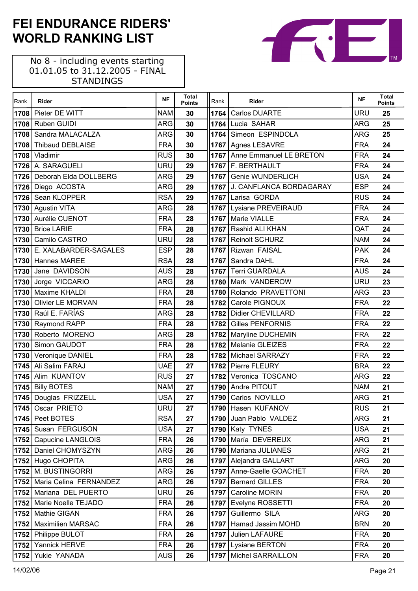No 8 - including events starting 01.01.05 to 31.12.2005 - FINAL STANDINGS

 $\Gamma$ 

| Rank | Rider                    | <b>NF</b>  | <b>Total</b><br><b>Points</b> | Rank | Rider                        | <b>NF</b>  | <b>Total</b><br><b>Points</b> |
|------|--------------------------|------------|-------------------------------|------|------------------------------|------------|-------------------------------|
| 1708 | Pieter DE WITT           | <b>NAM</b> | 30                            | 1764 | <b>Carlos DUARTE</b>         | <b>URU</b> | 25                            |
| 1708 | Ruben GUIDI              | <b>ARG</b> | 30                            | 1764 | Lucia SAHAR                  | <b>ARG</b> | 25                            |
| 1708 | Sandra MALACALZA         | <b>ARG</b> | 30                            | 1764 | Simeon ESPINDOLA             | <b>ARG</b> | 25                            |
| 1708 | <b>Thibaud DEBLAISE</b>  | <b>FRA</b> | 30                            |      | 1767 Agnes LESAVRE           | <b>FRA</b> | 24                            |
| 1708 | Vladimir                 | <b>RUS</b> | 30                            |      | 1767 Anne Emmanuel LE BRETON | <b>FRA</b> | 24                            |
|      | 1726 A. SARAGUELI        | URU        | 29                            |      | 1767 F. BERTHAULT            | <b>FRA</b> | 24                            |
| 1726 | Deborah Elda DOLLBERG    | <b>ARG</b> | 29                            | 1767 | Genie WUNDERLICH             | <b>USA</b> | 24                            |
|      | 1726 Diego ACOSTA        | <b>ARG</b> | 29                            |      | 1767 J. CANFLANCA BORDAGARAY | <b>ESP</b> | 24                            |
| 1726 | Sean KLOPPER             | <b>RSA</b> | 29                            |      | 1767 Larisa GORDA            | <b>RUS</b> | 24                            |
|      | 1730 Agustin VITA        | <b>ARG</b> | 28                            |      | 1767 Lysiane PREVEIRAUD      | <b>FRA</b> | 24                            |
| 1730 | Aurélie CUENOT           | <b>FRA</b> | 28                            | 1767 | Marie VIALLE                 | <b>FRA</b> | 24                            |
| 1730 | <b>Brice LARIE</b>       | <b>FRA</b> | 28                            |      | 1767 Rashid ALI KHAN         | QAT        | 24                            |
| 1730 | Camilo CASTRO            | URU        | 28                            | 1767 | <b>Reinolt SCHURZ</b>        | <b>NAM</b> | 24                            |
| 1730 | E. XALABARDER-SAGALES    | <b>ESP</b> | 28                            |      | 1767 Rizwan FAISAL           | <b>PAK</b> | 24                            |
| 1730 | Hannes MAREE             | <b>RSA</b> | 28                            | 1767 | Sandra DAHL                  | <b>FRA</b> | 24                            |
| 1730 | Jane DAVIDSON            | <b>AUS</b> | 28                            |      | 1767 Terri GUARDALA          | <b>AUS</b> | 24                            |
| 1730 | Jorge VICCARIO           | <b>ARG</b> | 28                            | 1780 | Mark VANDEROW                | <b>URU</b> | 23                            |
| 1730 | Maxime KHALDI            | <b>FRA</b> | 28                            |      | 1780 Rolando PRAVETTONI      | <b>ARG</b> | 23                            |
| 1730 | <b>Olivier LE MORVAN</b> | <b>FRA</b> | 28                            | 1782 | Carole PIGNOUX               | <b>FRA</b> | 22                            |
| 1730 | Raúl E. FARÍAS           | <b>ARG</b> | 28                            |      | 1782   Didier CHEVILLARD     | <b>FRA</b> | 22                            |
| 1730 | Raymond RAPP             | <b>FRA</b> | 28                            |      | 1782 Gilles PENFORNIS        | <b>FRA</b> | 22                            |
| 1730 | Roberto MORENO           | <b>ARG</b> | 28                            |      | 1782 Maryline DUCHEMIN       | <b>FRA</b> | 22                            |
| 1730 | Simon GAUDOT             | <b>FRA</b> | 28                            | 1782 | Melanie GLEIZES              | <b>FRA</b> | 22                            |
| 1730 | Veronique DANIEL         | <b>FRA</b> | 28                            |      | 1782 Michael SARRAZY         | <b>FRA</b> | 22                            |
| 1745 | Ali Salim FARAJ          | <b>UAE</b> | 27                            |      | 1782 Pierre FLEURY           | <b>BRA</b> | 22                            |
| 1745 | Alim KUANTOV             | <b>RUS</b> | 27                            |      | 1782 Veronica TOSCANO        | <b>ARG</b> | 22                            |
| 1745 | <b>Billy BOTES</b>       | <b>NAM</b> | 27                            |      | 1790 Andre PITOUT            | <b>NAM</b> | 21                            |
|      | 1745 Douglas FRIZZELL    | <b>USA</b> | 27                            | 1790 | Carlos NOVILLO               | <b>ARG</b> | 21                            |
|      | 1745 Oscar PRIETO        | <b>URU</b> | 27                            |      | 1790 Hasen KUFANOV           | <b>RUS</b> | 21                            |
|      | 1745   Peet BOTES        | <b>RSA</b> | 27                            |      | 1790 Juan Pablo VALDEZ       | <b>ARG</b> | 21                            |
| 1745 | Susan FERGUSON           | <b>USA</b> | 27                            |      | 1790 Katy TYNES              | <b>USA</b> | 21                            |
| 1752 | Capucine LANGLOIS        | <b>FRA</b> | 26                            | 1790 | María DEVEREUX               | <b>ARG</b> | 21                            |
| 1752 | Daniel CHOMYSZYN         | <b>ARG</b> | 26                            | 1790 | Mariana JULIANES             | <b>ARG</b> | 21                            |
| 1752 | Hugo CHOPITA             | <b>ARG</b> | 26                            |      | 1797 Alejandra GALLART       | <b>ARG</b> | 20                            |
| 1752 | M. BUSTINGORRI           | <b>ARG</b> | 26                            |      | 1797 Anne-Gaelle GOACHET     | <b>FRA</b> | 20                            |
| 1752 | Maria Celina FERNANDEZ   | <b>ARG</b> | 26                            | 1797 | <b>Bernard GILLES</b>        | <b>FRA</b> | 20                            |
| 1752 | Mariana DEL PUERTO       | URU        | 26                            | 1797 | <b>Caroline MORIN</b>        | <b>FRA</b> | 20                            |
| 1752 | Marie Noelle TEJADO      | <b>FRA</b> | 26                            | 1797 | Evelyne ROSSETTI             | <b>FRA</b> | 20                            |
| 1752 | Mathie GIGAN             | <b>FRA</b> | 26                            | 1797 | Guillermo SILA               | <b>ARG</b> | 20                            |
| 1752 | <b>Maximilien MARSAC</b> | <b>FRA</b> | 26                            | 1797 | Hamad Jassim MOHD            | <b>BRN</b> | 20                            |
| 1752 | Philippe BULOT           | <b>FRA</b> | 26                            | 1797 | Julien LAFAURE               | <b>FRA</b> | 20                            |
| 1752 | Yannick HERVE            | <b>FRA</b> | 26                            |      | 1797 Lysiane BERTON          | <b>FRA</b> | 20                            |
| 1752 | Yukie YANADA             | <b>AUS</b> | 26                            | 1797 | <b>Michel SARRAILLON</b>     | <b>FRA</b> | 20                            |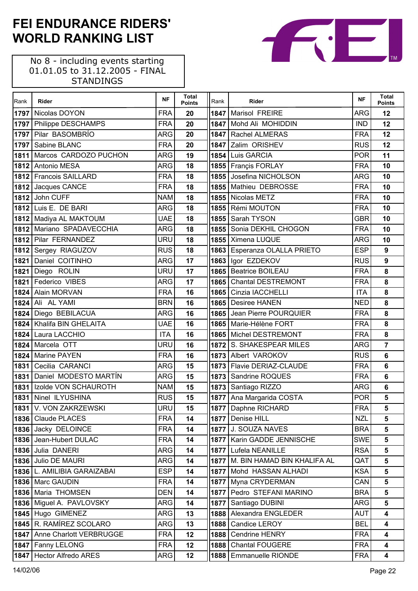No 8 - including events starting 01.01.05 to 31.12.2005 - FINAL STANDINGS

 $\Gamma$ 

| Rank | <b>Rider</b>               | <b>NF</b>  | <b>Total</b><br><b>Points</b> | Rank | Rider                              | <b>NF</b>  | <b>Total</b><br><b>Points</b> |
|------|----------------------------|------------|-------------------------------|------|------------------------------------|------------|-------------------------------|
| 1797 | Nicolas DOYON              | <b>FRA</b> | 20                            |      | 1847 Marisol FREIRE                | ARG        | 12                            |
| 1797 | <b>Philippe DESCHAMPS</b>  | <b>FRA</b> | 20                            |      | 1847 Mohd Ali MOHIDDIN             | <b>IND</b> | 12                            |
| 1797 | Pilar BASOMBRÍO            | <b>ARG</b> | 20                            |      | 1847 Rachel ALMERAS                | <b>FRA</b> | 12                            |
| 1797 | Sabine BLANC               | <b>FRA</b> | 20                            | 1847 | Zalim ORISHEV                      | <b>RUS</b> | 12                            |
| 1811 | Marcos CARDOZO PUCHON      | <b>ARG</b> | 19                            |      | 1854 Luis GARCIA                   | <b>POR</b> | 11                            |
|      | 1812 Antonio MESA          | <b>ARG</b> | 18                            |      | 1855   Françis FORLAY              | <b>FRA</b> | 10                            |
| 1812 | <b>Francois SAILLARD</b>   | <b>FRA</b> | 18                            |      | 1855 Josefina NICHOLSON            | <b>ARG</b> | 10                            |
|      | 1812 Jacques CANCE         | <b>FRA</b> | 18                            |      | 1855 Mathieu DEBROSSE              | <b>FRA</b> | 10                            |
| 1812 | John CUFF                  | <b>NAM</b> | 18                            |      | 1855   Nicolas METZ                | <b>FRA</b> | 10                            |
|      | 1812 Luis E. DE BARI       | <b>ARG</b> | 18                            |      | 1855 Rémi MOUTON                   | <b>FRA</b> | 10                            |
|      | 1812 Madiya AL MAKTOUM     | <b>UAE</b> | 18                            |      | 1855   Sarah TYSON                 | <b>GBR</b> | 10                            |
|      | 1812 Mariano SPADAVECCHIA  | <b>ARG</b> | 18                            |      | 1855 Sonia DEKHIL CHOGON           | <b>FRA</b> | 10                            |
|      | 1812 Pilar FERNANDEZ       | <b>URU</b> | 18                            |      | 1855   Ximena LUQUE                | <b>ARG</b> | 10                            |
|      | 1812 Sergey RIAGUZOV       | <b>RUS</b> | 18                            |      | 1863 Esperanza OLALLA PRIETO       | <b>ESP</b> | 9                             |
| 1821 | Daniel COITINHO            | <b>ARG</b> | 17                            | 1863 | Igor EZDEKOV                       | <b>RUS</b> | 9                             |
| 1821 | Diego ROLIN                | <b>URU</b> | 17                            |      | 1865   Beatrice BOILEAU            | <b>FRA</b> | 8                             |
| 1821 | Federico VIBES             | <b>ARG</b> | 17                            |      | 1865 Chantal DESTREMONT            | <b>FRA</b> | 8                             |
| 1824 | <b>Alain MORVAN</b>        | <b>FRA</b> | 16                            |      | 1865   Cinzia IACCHELLI            | <b>ITA</b> | 8                             |
| 1824 | Ali AL YAMI                | <b>BRN</b> | 16                            |      | 1865   Desiree HANEN               | <b>NED</b> | 8                             |
| 1824 | Diego BEBILACUA            | <b>ARG</b> | 16                            |      | 1865 Jean Pierre POURQUIER         | <b>FRA</b> | 8                             |
| 1824 | Khalifa BIN GHELAITA       | <b>UAE</b> | 16                            |      | 1865   Marie-Hélène FORT           | <b>FRA</b> | 8                             |
| 1824 | Laura LACCHIO              | <b>ITA</b> | 16                            |      | 1865 Michel DESTREMONT             | <b>FRA</b> | 8                             |
| 1824 | Marcela OTT                | URU        | 16                            |      | 1872 S. SHAKESPEAR MILES           | <b>ARG</b> | $\overline{7}$                |
| 1824 | <b>Marine PAYEN</b>        | <b>FRA</b> | 16                            |      | 1873 Albert VAROKOV                | <b>RUS</b> | 6                             |
| 1831 | Cecilia CARANCI            | <b>ARG</b> | 15                            |      | 1873   Flavie DERIAZ-CLAUDE        | <b>FRA</b> | 6                             |
| 1831 | Daniel MODESTO MARTÍN      | <b>ARG</b> | 15                            |      | 1873   Sandrine ROQUES             | <b>FRA</b> | 6                             |
| 1831 | Izolde VON SCHAUROTH       | <b>NAM</b> | 15                            | 1873 | Santiago RIZZO                     | <b>ARG</b> | 6                             |
| 1831 | Ninel ILYUSHINA            | <b>RUS</b> | 15                            |      | 1877   Ana Margarida COSTA         | <b>POR</b> | 5                             |
|      | 1831 V. VON ZAKRZEWSKI     | <b>URU</b> | 15                            |      | 1877 Daphne RICHARD                | <b>FRA</b> | 5                             |
|      | 1836   Claude PLACES       | <b>FRA</b> | 14                            | 1877 | Denise HILL                        | <b>NZL</b> | 5                             |
|      | 1836 Jacky DELOINCE        | <b>FRA</b> | 14                            |      | 1877 J. SOUZA NAVES                | <b>BRA</b> | 5                             |
| 1836 | Jean-Hubert DULAC          | <b>FRA</b> | 14                            |      | 1877   Karin GADDE JENNISCHE       | <b>SWE</b> | 5                             |
| 1836 | Julia DANERI               | ARG        | 14                            | 1877 | Lufela NEANILLE                    | <b>RSA</b> | 5                             |
| 1836 | Julio DE MAURI             | ARG        | 14                            |      | 1877   M. BIN HAMAD BIN KHALIFA AL | QAT        | 5                             |
| 1836 | L. AMILIBIA GARAIZABAI     | <b>ESP</b> | 14                            | 1877 | Mohd HASSAN ALHADI                 | <b>KSA</b> | 5                             |
|      | 1836   Marc GAUDIN         | <b>FRA</b> | 14                            |      | 1877   Myna CRYDERMAN              | CAN        | 5                             |
|      | 1836 Maria THOMSEN         | <b>DEN</b> | 14                            | 1877 | Pedro STEFANI MARINO               | <b>BRA</b> | $5\phantom{a}$                |
|      | 1836 Miguel A. PAVLOVSKY   | <b>ARG</b> | 14                            | 1877 | Santiago DUBINI                    | <b>ARG</b> | 5                             |
| 1845 | Hugo GIMENEZ               | <b>ARG</b> | 13                            |      | 1888 Alexandra ENGLEDER            | <b>AUT</b> | 4                             |
|      | 1845 R. RAMÍREZ SCOLARO    | ARG        | 13                            | 1888 | Candice LEROY                      | <b>BEL</b> | $\overline{\mathbf{4}}$       |
| 1847 | Anne Charlott VERBRUGGE    | <b>FRA</b> | 12                            | 1888 | <b>Cendrine HENRY</b>              | <b>FRA</b> | 4                             |
| 1847 | Fanny LELONG               | <b>FRA</b> | 12                            | 1888 | <b>Chantal FOUGERE</b>             | <b>FRA</b> | 4                             |
| 1847 | <b>Hector Alfredo ARES</b> | ARG        | 12                            | 1888 | Emmanuelle RIONDE                  | <b>FRA</b> | 4                             |

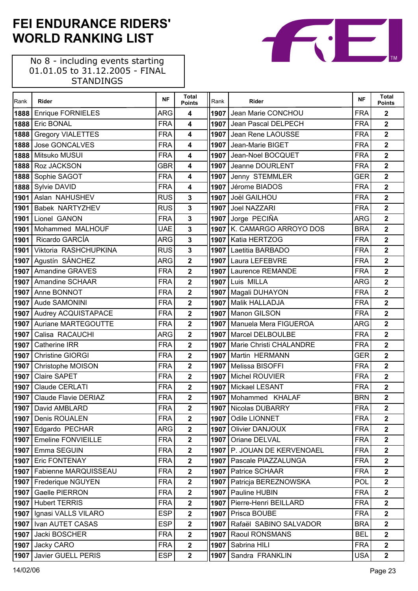No 8 - including events starting 01.01.05 to 31.12.2005 - FINAL STANDINGS

| Rank | Rider                      | <b>NF</b>  | <b>Total</b><br><b>Points</b> | Rank | Rider                          | <b>NF</b>  | <b>Total</b><br><b>Points</b> |
|------|----------------------------|------------|-------------------------------|------|--------------------------------|------------|-------------------------------|
| 1888 | <b>Enrique FORNIELES</b>   | <b>ARG</b> | $\overline{\mathbf{4}}$       |      | 1907 Jean Marie CONCHOU        | <b>FRA</b> | $\mathbf 2$                   |
| 1888 | <b>Eric BONAL</b>          | <b>FRA</b> | $\overline{\mathbf{4}}$       |      | 1907 Jean Pascal DELPECH       | <b>FRA</b> | $\overline{\mathbf{2}}$       |
| 1888 | <b>Gregory VIALETTES</b>   | <b>FRA</b> | $\overline{\mathbf{4}}$       |      | 1907 Jean Rene LAOUSSE         | <b>FRA</b> | $\overline{\mathbf{2}}$       |
| 1888 | Jose GONCALVES             | <b>FRA</b> | 4                             |      | 1907 Jean-Marie BIGET          | <b>FRA</b> | $\overline{\mathbf{2}}$       |
| 1888 | Mitsuko MUSUI              | <b>FRA</b> | 4                             |      | 1907 Jean-Noel BOCQUET         | <b>FRA</b> | $\overline{\mathbf{2}}$       |
|      | 1888 Roz JACKSON           | <b>GBR</b> | 4                             |      | 1907 Jeanne DOURLENT           | <b>FRA</b> | $\overline{\mathbf{2}}$       |
|      | 1888 Sophie SAGOT          | <b>FRA</b> | 4                             |      | 1907 Jenny STEMMLER            | <b>GER</b> | $\overline{\mathbf{2}}$       |
|      | 1888 Sylvie DAVID          | <b>FRA</b> | $\overline{\mathbf{4}}$       |      | 1907 Jérome BIADOS             | <b>FRA</b> | $\overline{\mathbf{2}}$       |
| 1901 | Aslan NAHUSHEV             | <b>RUS</b> | 3                             |      | 1907 Joël GAILHOU              | <b>FRA</b> | $\overline{\mathbf{2}}$       |
| 1901 | <b>Babek NARTYZHEV</b>     | <b>RUS</b> | 3                             |      | 1907 Joel NAZZARI              | <b>FRA</b> | $\overline{2}$                |
|      | 1901 Lionel GANON          | <b>FRA</b> | 3                             |      | 1907 Jorge PECIÑA              | <b>ARG</b> | $\overline{2}$                |
| 1901 | Mohammed MALHOUF           | <b>UAE</b> | 3                             |      | 1907 K. CAMARGO ARROYO DOS     | <b>BRA</b> | $\overline{2}$                |
| 1901 | Ricardo GARCÍA             | <b>ARG</b> | 3                             |      | 1907   Katia HERTZOG           | <b>FRA</b> | $\mathbf{2}$                  |
|      | 1901 Viktoria RASHCHUPKINA | <b>RUS</b> | 3                             |      | 1907 Laetitia BARBADO          | <b>FRA</b> | $\mathbf{2}$                  |
|      | 1907 Agustín SÁNCHEZ       | <b>ARG</b> | $\overline{2}$                |      | 1907 Laura LEFEBVRE            | <b>FRA</b> | $\overline{\mathbf{2}}$       |
| 1907 | Amandine GRAVES            | <b>FRA</b> | $\overline{\mathbf{2}}$       |      | 1907 Laurence REMANDE          | <b>FRA</b> | $\overline{\mathbf{2}}$       |
| 1907 | Amandine SCHAAR            | <b>FRA</b> | $\overline{\mathbf{2}}$       |      | 1907 Luis MILLA                | <b>ARG</b> | $\overline{\mathbf{2}}$       |
| 1907 | Anne BONNOT                | <b>FRA</b> | $\overline{\mathbf{2}}$       |      | 1907   Magali DUHAYON          | <b>FRA</b> | $\overline{\mathbf{2}}$       |
|      | 1907 Aude SAMONINI         | <b>FRA</b> | $\overline{\mathbf{2}}$       |      | 1907   Malik HALLADJA          | <b>FRA</b> | $\overline{\mathbf{2}}$       |
|      | 1907 Audrey ACQUISTAPACE   | <b>FRA</b> | $\overline{\mathbf{2}}$       |      | 1907 Manon GILSON              | <b>FRA</b> | $\overline{\mathbf{2}}$       |
| 1907 | Auriane MARTEGOUTTE        | <b>FRA</b> | $\overline{\mathbf{2}}$       |      | 1907   Manuela Mera FIGUEROA   | <b>ARG</b> | $\overline{\mathbf{2}}$       |
| 1907 | Calisa RACAUCHI            | <b>ARG</b> | $\overline{\mathbf{2}}$       |      | 1907   Marcel DELBOULBE        | <b>FRA</b> | $\overline{\mathbf{2}}$       |
| 1907 | <b>Catherine IRR</b>       | <b>FRA</b> | $\overline{2}$                |      | 1907   Marie Christi CHALANDRE | <b>FRA</b> | $\overline{\mathbf{2}}$       |
| 1907 | <b>Christine GIORGI</b>    | <b>FRA</b> | $\overline{\mathbf{2}}$       |      | 1907 Martin HERMANN            | <b>GER</b> | $\overline{\mathbf{2}}$       |
| 1907 | Christophe MOISON          | <b>FRA</b> | $\overline{2}$                |      | 1907   Melissa BISOFFI         | <b>FRA</b> | $\mathbf{2}$                  |
| 1907 | <b>Claire SAPET</b>        | <b>FRA</b> | $\overline{\mathbf{2}}$       |      | 1907 Michel ROUVIER            | <b>FRA</b> | $\overline{2}$                |
| 1907 | Claude CERLATI             | <b>FRA</b> | $\overline{2}$                |      | 1907 Mickael LESANT            | <b>FRA</b> | $\overline{2}$                |
| 1907 | Claude Flavie DERIAZ       | <b>FRA</b> | $\overline{\mathbf{2}}$       |      | 1907 Mohammed KHALAF           | <b>BRN</b> | $\overline{\mathbf{2}}$       |
|      | 1907   David AMBLARD       | <b>FRA</b> | $\overline{2}$                |      | 1907 Nicolas DUBARRY           | <b>FRA</b> | $\overline{\mathbf{2}}$       |
|      | 1907   Denis ROUALEN       | <b>FRA</b> | $\mathbf{2}$                  |      | 1907   Odile LIONNET           | <b>FRA</b> | $\mathbf{2}$                  |
|      | 1907 Edgardo PECHAR        | ARG        | $\overline{\mathbf{2}}$       | 1907 | <b>Olivier DANJOUX</b>         | <b>FRA</b> | $\mathbf{2}$                  |
|      | 1907 Emeline FONVIEILLE    | <b>FRA</b> | $\overline{\mathbf{2}}$       | 1907 | Oriane DELVAL                  | <b>FRA</b> | $\overline{\mathbf{2}}$       |
|      | 1907 Emma SEGUIN           | <b>FRA</b> | $\overline{2}$                |      | 1907   P. JOUAN DE KERVENOAEL  | <b>FRA</b> | $\overline{\mathbf{2}}$       |
|      | 1907 Eric FONTENAY         | <b>FRA</b> | $\overline{\mathbf{2}}$       |      | 1907   Pascale PIAZZALUNGA     | <b>FRA</b> | $\overline{\mathbf{2}}$       |
|      | 1907 Fabienne MARQUISSEAU  | <b>FRA</b> | $\overline{\mathbf{2}}$       |      | 1907   Patrice SCHAAR          | <b>FRA</b> | $\overline{\mathbf{2}}$       |
|      | 1907 Frederique NGUYEN     | <b>FRA</b> | $\overline{\mathbf{2}}$       |      | 1907   Patricja BEREZNOWSKA    | POL        | $\mathbf 2$                   |
|      | 1907 Gaelle PIERRON        | <b>FRA</b> | $\mathbf{2}$                  |      | 1907   Pauline HUBIN           | <b>FRA</b> | $\mathbf{2}$                  |
|      | 1907 Hubert TERRIS         | <b>FRA</b> | $\mathbf 2$                   | 1907 | Pierre-Henri BEILLARD          | <b>FRA</b> | $\mathbf 2$                   |
|      | 1907   Ignasi VALLS VILARO | <b>ESP</b> | $\mathbf{2}$                  |      | 1907   Prisca BOUBE            | <b>FRA</b> | $\overline{\mathbf{2}}$       |
|      | 1907   Ivan AUTET CASAS    | <b>ESP</b> | $\overline{\mathbf{2}}$       |      | 1907 Rafaël SABINO SALVADOR    | <b>BRA</b> | $\overline{\mathbf{2}}$       |
|      | 1907 Jacki BOSCHER         | <b>FRA</b> | $\overline{\mathbf{2}}$       |      | 1907   Raoul RONSMANS          | <b>BEL</b> | $\overline{\mathbf{2}}$       |
|      | 1907 Jacky CARO            | <b>FRA</b> | $\overline{\mathbf{2}}$       | 1907 | Sabrina HILI                   | <b>FRA</b> | $\overline{\mathbf{2}}$       |
|      | 1907 Javier GUELL PERIS    | <b>ESP</b> | $\mathbf{2}$                  | 1907 | Sandra FRANKLIN                | <b>USA</b> | $\mathbf{2}$                  |

TМ